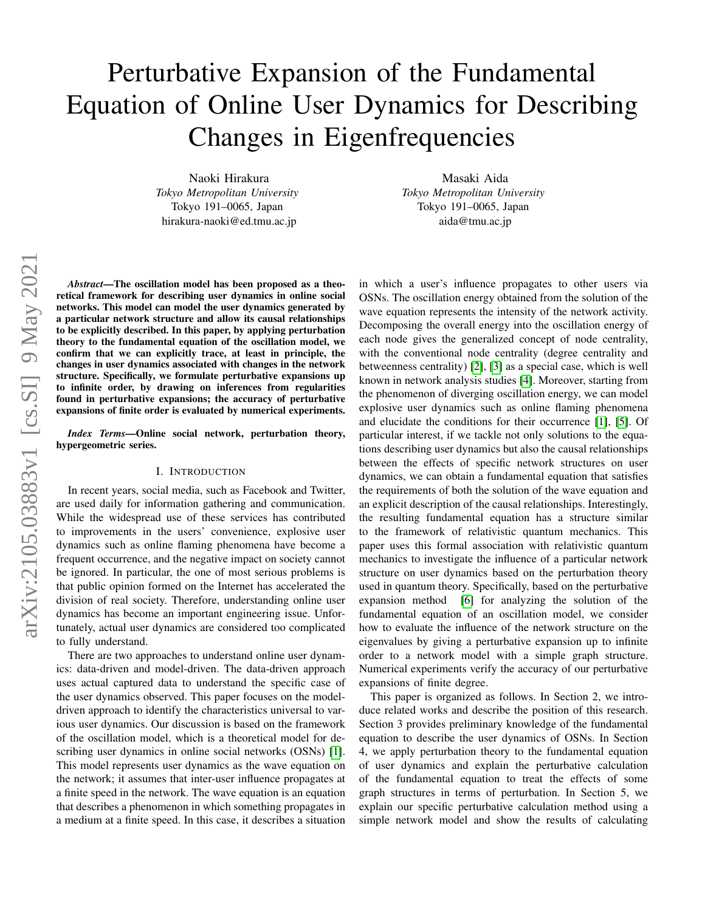# Perturbative Expansion of the Fundamental Equation of Online User Dynamics for Describing Changes in Eigenfrequencies

Naoki Hirakura *Tokyo Metropolitan University* Tokyo 191–0065, Japan hirakura-naoki@ed.tmu.ac.jp

Masaki Aida *Tokyo Metropolitan University* Tokyo 191–0065, Japan aida@tmu.ac.jp

*Abstract*—The oscillation model has been proposed as a theoretical framework for describing user dynamics in online social networks. This model can model the user dynamics generated by a particular network structure and allow its causal relationships to be explicitly described. In this paper, by applying perturbation theory to the fundamental equation of the oscillation model, we confirm that we can explicitly trace, at least in principle, the changes in user dynamics associated with changes in the network structure. Specifically, we formulate perturbative expansions up to infinite order, by drawing on inferences from regularities found in perturbative expansions; the accuracy of perturbative expansions of finite order is evaluated by numerical experiments.

*Index Terms*—Online social network, perturbation theory, hypergeometric series.

## I. INTRODUCTION

In recent years, social media, such as Facebook and Twitter, are used daily for information gathering and communication. While the widespread use of these services has contributed to improvements in the users' convenience, explosive user dynamics such as online flaming phenomena have become a frequent occurrence, and the negative impact on society cannot be ignored. In particular, the one of most serious problems is that public opinion formed on the Internet has accelerated the division of real society. Therefore, understanding online user dynamics has become an important engineering issue. Unfortunately, actual user dynamics are considered too complicated to fully understand.

There are two approaches to understand online user dynamics: data-driven and model-driven. The data-driven approach uses actual captured data to understand the specific case of the user dynamics observed. This paper focuses on the modeldriven approach to identify the characteristics universal to various user dynamics. Our discussion is based on the framework of the oscillation model, which is a theoretical model for de-scribing user dynamics in online social networks (OSNs) [\[1\]](#page-14-0). This model represents user dynamics as the wave equation on the network; it assumes that inter-user influence propagates at a finite speed in the network. The wave equation is an equation that describes a phenomenon in which something propagates in a medium at a finite speed. In this case, it describes a situation in which a user's influence propagates to other users via OSNs. The oscillation energy obtained from the solution of the wave equation represents the intensity of the network activity. Decomposing the overall energy into the oscillation energy of each node gives the generalized concept of node centrality, with the conventional node centrality (degree centrality and betweenness centrality) [\[2\]](#page-14-1), [\[3\]](#page-14-2) as a special case, which is well known in network analysis studies [\[4\]](#page-14-3). Moreover, starting from the phenomenon of diverging oscillation energy, we can model explosive user dynamics such as online flaming phenomena and elucidate the conditions for their occurrence [\[1\]](#page-14-0), [\[5\]](#page-14-4). Of particular interest, if we tackle not only solutions to the equations describing user dynamics but also the causal relationships between the effects of specific network structures on user dynamics, we can obtain a fundamental equation that satisfies the requirements of both the solution of the wave equation and an explicit description of the causal relationships. Interestingly, the resulting fundamental equation has a structure similar to the framework of relativistic quantum mechanics. This paper uses this formal association with relativistic quantum mechanics to investigate the influence of a particular network structure on user dynamics based on the perturbation theory used in quantum theory. Specifically, based on the perturbative expansion method [\[6\]](#page-14-5) for analyzing the solution of the fundamental equation of an oscillation model, we consider how to evaluate the influence of the network structure on the eigenvalues by giving a perturbative expansion up to infinite order to a network model with a simple graph structure. Numerical experiments verify the accuracy of our perturbative expansions of finite degree.

This paper is organized as follows. In Section 2, we introduce related works and describe the position of this research. Section 3 provides preliminary knowledge of the fundamental equation to describe the user dynamics of OSNs. In Section 4, we apply perturbation theory to the fundamental equation of user dynamics and explain the perturbative calculation of the fundamental equation to treat the effects of some graph structures in terms of perturbation. In Section 5, we explain our specific perturbative calculation method using a simple network model and show the results of calculating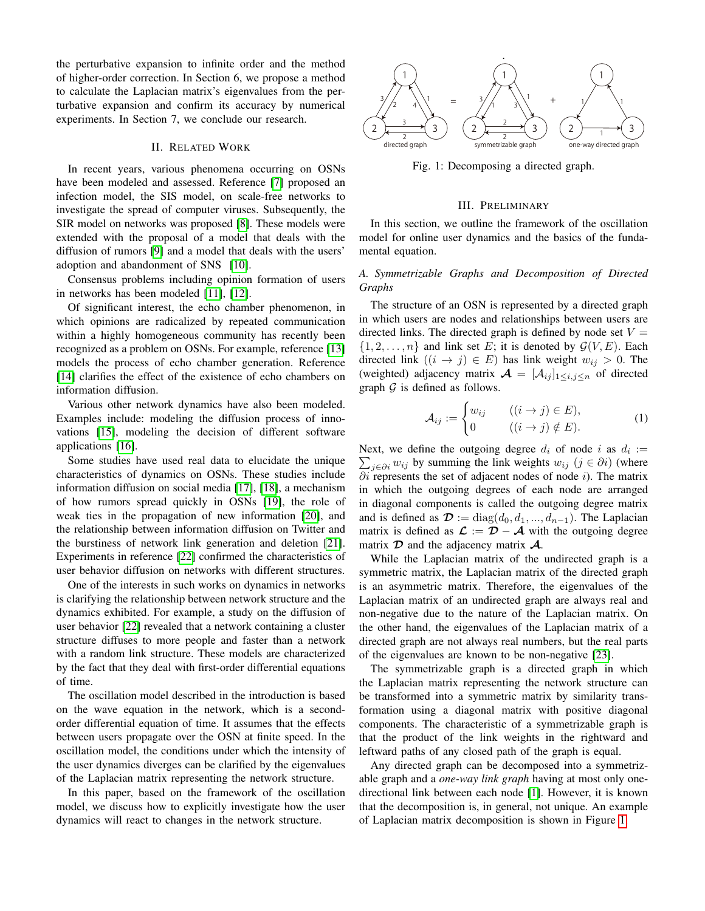the perturbative expansion to infinite order and the method of higher-order correction. In Section 6, we propose a method to calculate the Laplacian matrix's eigenvalues from the perturbative expansion and confirm its accuracy by numerical experiments. In Section 7, we conclude our research.

## II. RELATED WORK

In recent years, various phenomena occurring on OSNs have been modeled and assessed. Reference [\[7\]](#page-15-0) proposed an infection model, the SIS model, on scale-free networks to investigate the spread of computer viruses. Subsequently, the SIR model on networks was proposed [\[8\]](#page-15-1). These models were extended with the proposal of a model that deals with the diffusion of rumors [\[9\]](#page-15-2) and a model that deals with the users' adoption and abandonment of SNS [\[10\]](#page-15-3).

Consensus problems including opinion formation of users in networks has been modeled [\[11\]](#page-15-4), [\[12\]](#page-15-5).

Of significant interest, the echo chamber phenomenon, in which opinions are radicalized by repeated communication within a highly homogeneous community has recently been recognized as a problem on OSNs. For example, reference [\[13\]](#page-15-6) models the process of echo chamber generation. Reference [\[14\]](#page-15-7) clarifies the effect of the existence of echo chambers on information diffusion.

Various other network dynamics have also been modeled. Examples include: modeling the diffusion process of innovations [\[15\]](#page-15-8), modeling the decision of different software applications [\[16\]](#page-15-9).

Some studies have used real data to elucidate the unique characteristics of dynamics on OSNs. These studies include information diffusion on social media [\[17\]](#page-15-10), [\[18\]](#page-15-11), a mechanism of how rumors spread quickly in OSNs [\[19\]](#page-15-12), the role of weak ties in the propagation of new information [\[20\]](#page-15-13), and the relationship between information diffusion on Twitter and the burstiness of network link generation and deletion [\[21\]](#page-15-14). Experiments in reference [\[22\]](#page-15-15) confirmed the characteristics of user behavior diffusion on networks with different structures.

One of the interests in such works on dynamics in networks is clarifying the relationship between network structure and the dynamics exhibited. For example, a study on the diffusion of user behavior [\[22\]](#page-15-15) revealed that a network containing a cluster structure diffuses to more people and faster than a network with a random link structure. These models are characterized by the fact that they deal with first-order differential equations of time.

The oscillation model described in the introduction is based on the wave equation in the network, which is a secondorder differential equation of time. It assumes that the effects between users propagate over the OSN at finite speed. In the oscillation model, the conditions under which the intensity of the user dynamics diverges can be clarified by the eigenvalues of the Laplacian matrix representing the network structure.

In this paper, based on the framework of the oscillation model, we discuss how to explicitly investigate how the user dynamics will react to changes in the network structure.

<span id="page-1-0"></span>

Fig. 1: Decomposing a directed graph.

#### III. PRELIMINARY

In this section, we outline the framework of the oscillation model for online user dynamics and the basics of the fundamental equation.

# *A. Symmetrizable Graphs and Decomposition of Directed Graphs*

The structure of an OSN is represented by a directed graph in which users are nodes and relationships between users are directed links. The directed graph is defined by node set  $V =$  $\{1, 2, \ldots, n\}$  and link set E; it is denoted by  $\mathcal{G}(V, E)$ . Each directed link  $((i \rightarrow j) \in E)$  has link weight  $w_{ij} > 0$ . The (weighted) adjacency matrix  $\mathcal{A} = [\mathcal{A}_{ij}]_{1 \leq i,j \leq n}$  of directed graph  $\mathcal G$  is defined as follows.

$$
\mathcal{A}_{ij} := \begin{cases} w_{ij} & ((i \to j) \in E), \\ 0 & ((i \to j) \notin E). \end{cases}
$$
 (1)

Next, we define the outgoing degree  $d_i$  of node i as  $d_i :=$ Next, we define the outgoing degree  $d_i$  of node  $i$  as  $d_i := \sum_{j \in \partial i} w_{ij}$  by summing the link weights  $w_{ij}$   $(j \in \partial i)$  (where  $\partial i$  represents the set of adjacent nodes of node i). The matrix in which the outgoing degrees of each node are arranged in diagonal components is called the outgoing degree matrix and is defined as  $\mathcal{D} := \text{diag}(d_0, d_1, ..., d_{n-1})$ . The Laplacian matrix is defined as  $\mathcal{L} := \mathcal{D} - \mathcal{A}$  with the outgoing degree matrix  $\mathcal D$  and the adjacency matrix  $\mathcal A$ .

While the Laplacian matrix of the undirected graph is a symmetric matrix, the Laplacian matrix of the directed graph is an asymmetric matrix. Therefore, the eigenvalues of the Laplacian matrix of an undirected graph are always real and non-negative due to the nature of the Laplacian matrix. On the other hand, the eigenvalues of the Laplacian matrix of a directed graph are not always real numbers, but the real parts of the eigenvalues are known to be non-negative [\[23\]](#page-15-16).

The symmetrizable graph is a directed graph in which the Laplacian matrix representing the network structure can be transformed into a symmetric matrix by similarity transformation using a diagonal matrix with positive diagonal components. The characteristic of a symmetrizable graph is that the product of the link weights in the rightward and leftward paths of any closed path of the graph is equal.

Any directed graph can be decomposed into a symmetrizable graph and a *one-way link graph* having at most only onedirectional link between each node [\[1\]](#page-14-0). However, it is known that the decomposition is, in general, not unique. An example of Laplacian matrix decomposition is shown in Figure [1.](#page-1-0)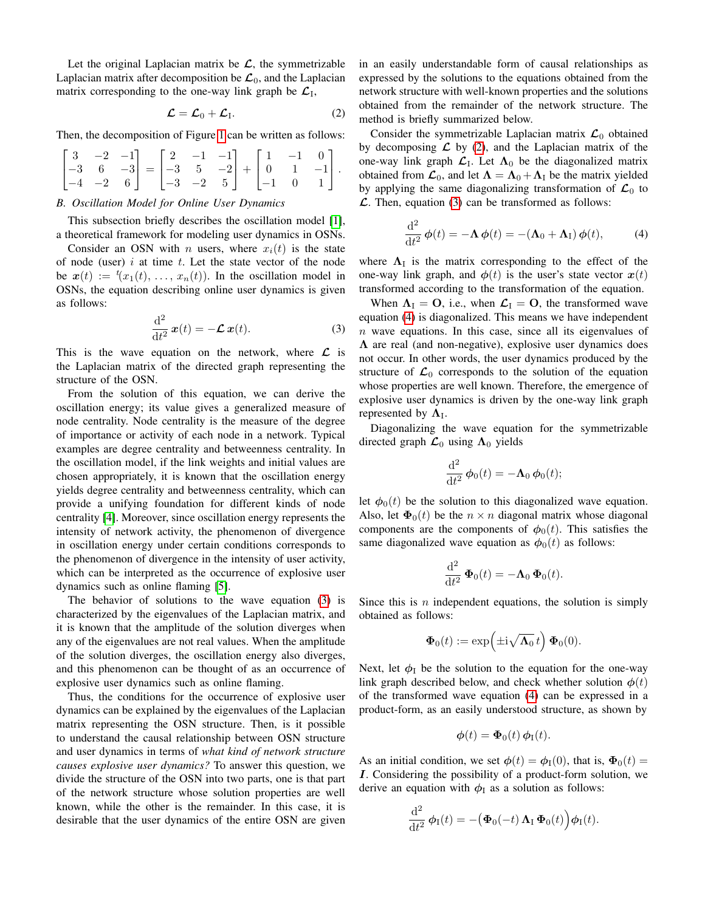Let the original Laplacian matrix be  $\mathcal{L}$ , the symmetrizable Laplacian matrix after decomposition be  $\mathcal{L}_0$ , and the Laplacian matrix corresponding to the one-way link graph be  $\mathcal{L}_I$ ,

$$
\mathcal{L} = \mathcal{L}_0 + \mathcal{L}_1. \tag{2}
$$

Then, the decomposition of Figure [1](#page-1-0) can be written as follows:

$$
\begin{bmatrix} 3 & -2 & -1 \\ -3 & 6 & -3 \\ -4 & -2 & 6 \end{bmatrix} = \begin{bmatrix} 2 & -1 & -1 \\ -3 & 5 & -2 \\ -3 & -2 & 5 \end{bmatrix} + \begin{bmatrix} 1 & -1 & 0 \\ 0 & 1 & -1 \\ -1 & 0 & 1 \end{bmatrix}.
$$

## *B. Oscillation Model for Online User Dynamics*

This subsection briefly describes the oscillation model [\[1\]](#page-14-0), a theoretical framework for modeling user dynamics in OSNs.

Consider an OSN with *n* users, where  $x_i(t)$  is the state of node (user)  $i$  at time  $t$ . Let the state vector of the node be  $x(t) := (x_1(t), \ldots, x_n(t))$ . In the oscillation model in OSNs, the equation describing online user dynamics is given as follows:

$$
\frac{\mathrm{d}^2}{\mathrm{d}t^2}\,\boldsymbol{x}(t) = -\mathcal{L}\,\boldsymbol{x}(t). \tag{3}
$$

This is the wave equation on the network, where  $\mathcal{L}$  is the Laplacian matrix of the directed graph representing the structure of the OSN.

From the solution of this equation, we can derive the oscillation energy; its value gives a generalized measure of node centrality. Node centrality is the measure of the degree of importance or activity of each node in a network. Typical examples are degree centrality and betweenness centrality. In the oscillation model, if the link weights and initial values are chosen appropriately, it is known that the oscillation energy yields degree centrality and betweenness centrality, which can provide a unifying foundation for different kinds of node centrality [\[4\]](#page-14-3). Moreover, since oscillation energy represents the intensity of network activity, the phenomenon of divergence in oscillation energy under certain conditions corresponds to the phenomenon of divergence in the intensity of user activity, which can be interpreted as the occurrence of explosive user dynamics such as online flaming [\[5\]](#page-14-4).

The behavior of solutions to the wave equation [\(3\)](#page-2-0) is characterized by the eigenvalues of the Laplacian matrix, and it is known that the amplitude of the solution diverges when any of the eigenvalues are not real values. When the amplitude of the solution diverges, the oscillation energy also diverges, and this phenomenon can be thought of as an occurrence of explosive user dynamics such as online flaming.

Thus, the conditions for the occurrence of explosive user dynamics can be explained by the eigenvalues of the Laplacian matrix representing the OSN structure. Then, is it possible to understand the causal relationship between OSN structure and user dynamics in terms of *what kind of network structure causes explosive user dynamics?* To answer this question, we divide the structure of the OSN into two parts, one is that part of the network structure whose solution properties are well known, while the other is the remainder. In this case, it is desirable that the user dynamics of the entire OSN are given in an easily understandable form of causal relationships as expressed by the solutions to the equations obtained from the network structure with well-known properties and the solutions obtained from the remainder of the network structure. The method is briefly summarized below.

<span id="page-2-1"></span>Consider the symmetrizable Laplacian matrix  $\mathcal{L}_0$  obtained by decomposing  $\mathcal L$  by [\(2\)](#page-2-1), and the Laplacian matrix of the one-way link graph  $\mathcal{L}_I$ . Let  $\Lambda_0$  be the diagonalized matrix obtained from  $\mathcal{L}_0$ , and let  $\Lambda = \Lambda_0 + \Lambda_{\text{I}}$  be the matrix yielded by applying the same diagonalizing transformation of  $\mathcal{L}_0$  to  $\mathcal{L}$ . Then, equation [\(3\)](#page-2-0) can be transformed as follows:

<span id="page-2-2"></span>
$$
\frac{\mathrm{d}^2}{\mathrm{d}t^2} \phi(t) = -\mathbf{\Lambda} \phi(t) = -(\mathbf{\Lambda}_0 + \mathbf{\Lambda}_I) \phi(t), \quad (4)
$$

where  $\Lambda_{\rm I}$  is the matrix corresponding to the effect of the one-way link graph, and  $\phi(t)$  is the user's state vector  $x(t)$ transformed according to the transformation of the equation.

<span id="page-2-0"></span>When  $\Lambda_{\rm I} = \mathbf{O}$ , i.e., when  $\mathcal{L}_{\rm I} = \mathbf{O}$ , the transformed wave equation [\(4\)](#page-2-2) is diagonalized. This means we have independent  $n$  wave equations. In this case, since all its eigenvalues of  $\Lambda$  are real (and non-negative), explosive user dynamics does not occur. In other words, the user dynamics produced by the structure of  $\mathcal{L}_0$  corresponds to the solution of the equation whose properties are well known. Therefore, the emergence of explosive user dynamics is driven by the one-way link graph represented by  $\Lambda_{\mathrm{I}}$ .

Diagonalizing the wave equation for the symmetrizable directed graph  $\mathcal{L}_0$  using  $\Lambda_0$  yields

$$
\frac{\mathrm{d}^2}{\mathrm{d}t^2}\,\boldsymbol{\phi}_0(t) = -\boldsymbol{\Lambda}_0\,\boldsymbol{\phi}_0(t);
$$

let  $\phi_0(t)$  be the solution to this diagonalized wave equation. Also, let  $\Phi_0(t)$  be the  $n \times n$  diagonal matrix whose diagonal components are the components of  $\phi_0(t)$ . This satisfies the same diagonalized wave equation as  $\phi_0(t)$  as follows:

$$
\frac{\mathrm{d}^2}{\mathrm{d}t^2} \, \mathbf{\Phi}_0(t) = -\mathbf{\Lambda}_0 \, \mathbf{\Phi}_0(t).
$$

Since this is  $n$  independent equations, the solution is simply obtained as follows:

$$
\mathbf{\Phi}_0(t) := \exp\Bigl(\pm \mathrm{i} \sqrt{\mathbf{\Lambda}_0}\,t\Bigr)\,\mathbf{\Phi}_0(0).
$$

Next, let  $\phi_I$  be the solution to the equation for the one-way link graph described below, and check whether solution  $\phi(t)$ of the transformed wave equation [\(4\)](#page-2-2) can be expressed in a product-form, as an easily understood structure, as shown by

$$
\boldsymbol{\phi}(t) = \boldsymbol{\Phi}_0(t) \, \boldsymbol{\phi}_\mathrm{I}(t).
$$

As an initial condition, we set  $\phi(t) = \phi_{\text{I}}(0)$ , that is,  $\Phi_0(t) =$ I. Considering the possibility of a product-form solution, we derive an equation with  $\phi_I$  as a solution as follows:

$$
\frac{\mathrm{d}^2}{\mathrm{d}t^2} \phi_{\rm I}(t) = -\big(\boldsymbol{\Phi}_0(-t) \,\boldsymbol{\Lambda}_{\rm I} \, \boldsymbol{\Phi}_0(t)\big) \phi_{\rm I}(t).
$$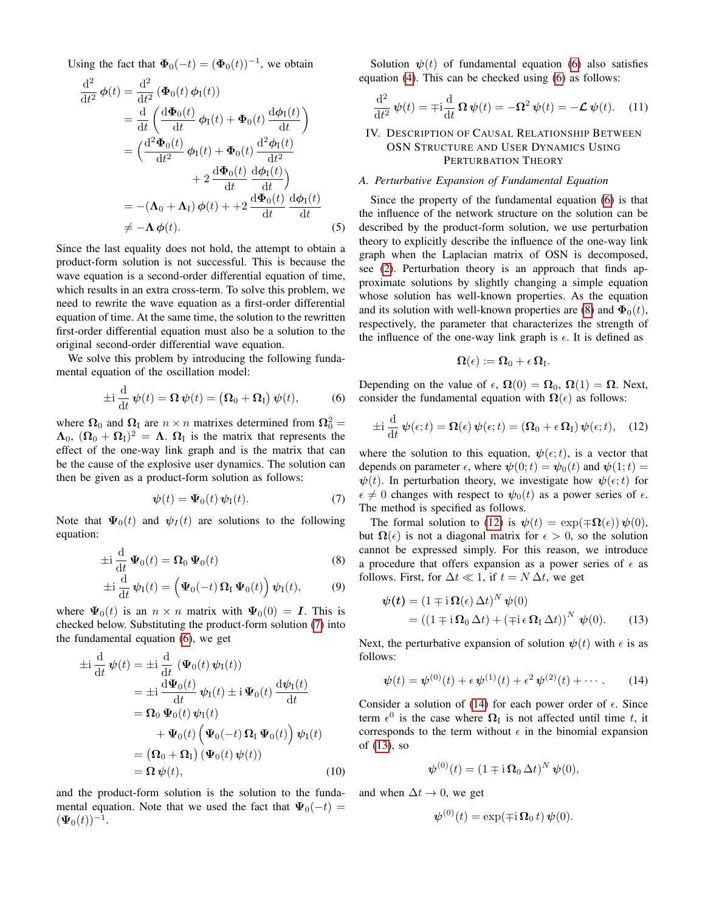Using the fact that  $\Phi_0(-t) = (\Phi_0(t))^{-1}$ , we obtain

$$
\frac{d^2}{dt^2} \phi(t) = \frac{d^2}{dt^2} (\Phi_0(t) \phi_1(t))
$$
\n
$$
= \frac{d}{dt} \left( \frac{d\Phi_0(t)}{dt} \phi_1(t) + \Phi_0(t) \frac{d\phi_1(t)}{dt} \right)
$$
\n
$$
= \left( \frac{d^2\Phi_0(t)}{dt^2} \phi_1(t) + \Phi_0(t) \frac{d^2\phi_1(t)}{dt^2} + 2 \frac{d\Phi_0(t)}{dt} \frac{d\phi_1(t)}{dt} \right)
$$
\n
$$
= -(\Lambda_0 + \Lambda_1) \phi(t) + +2 \frac{d\Phi_0(t)}{dt} \frac{d\phi_1(t)}{dt}
$$
\n
$$
\neq -\Lambda \phi(t).
$$
\n(5)

Since the last equality does not hold, the attempt to obtain a product-form solution is not successful. This is because the wave equation is a second-order differential equation of time, which results in an extra cross-term. To solve this problem, we need to rewrite the wave equation as a first-order differential equation of time. At the same time, the solution to the rewritten first-order differential equation must also be a solution to the original second-order differential wave equation.

We solve this problem by introducing the following fundamental equation of the oscillation model:

$$
\pm i \frac{\mathrm{d}}{\mathrm{d}t} \psi(t) = \mathbf{\Omega} \psi(t) = \left( \mathbf{\Omega}_0 + \mathbf{\Omega}_I \right) \psi(t), \tag{6}
$$

where  $\Omega_0$  and  $\Omega_1$  are  $n \times n$  matrixes determined from  $\Omega_0^2 =$  $\Lambda_0$ ,  $(\Omega_0 + \Omega_I)^2 = \Lambda$ .  $\Omega_I$  is the matrix that represents the effect of the one-way link graph and is the matrix that can be the cause of the explosive user dynamics. The solution can then be given as a product-form solution as follows:

$$
\psi(t) = \Psi_0(t) \psi_{\rm I}(t). \tag{7}
$$

Note that  $\Psi_0(t)$  and  $\psi_I(t)$  are solutions to the following equation:

$$
\pm i \frac{d}{dt} \Psi_0(t) = \Omega_0 \Psi_0(t)
$$
 (8)

$$
\pm i \frac{d}{dt} \psi_{I}(t) = \left( \Psi_{0}(-t) \, \Omega_{I} \, \Psi_{0}(t) \right) \psi_{I}(t), \quad (9)
$$

where  $\Psi_0(t)$  is an  $n \times n$  matrix with  $\Psi_0(0) = I$ . This is checked below. Substituting the product-form solution [\(7\)](#page-3-0) into the fundamental equation [\(6\)](#page-3-1), we get

$$
\pm i \frac{d}{dt} \psi(t) = \pm i \frac{d}{dt} (\Psi_0(t) \psi_1(t))
$$
\n
$$
= \pm i \frac{d \Psi_0(t)}{dt} \psi_1(t) \pm i \Psi_0(t) \frac{d \psi_1(t)}{dt}
$$
\n
$$
= \Omega_0 \Psi_0(t) \psi_1(t)
$$
\n
$$
+ \Psi_0(t) (\Psi_0(-t) \Omega_1 \Psi_0(t)) \psi_1(t)
$$
\n
$$
= (\Omega_0 + \Omega_1) (\Psi_0(t) \psi(t))
$$
\n
$$
= \Omega \psi(t), \qquad (10)
$$

and the product-form solution is the solution to the fundamental equation. Note that we used the fact that  $\Psi_0(-t)$  =  $(\Psi_0(t))^{-1}$ .

Solution  $\psi(t)$  of fundamental equation [\(6\)](#page-3-1) also satisfies equation [\(4\)](#page-2-2). This can be checked using [\(6\)](#page-3-1) as follows:

$$
\frac{\mathrm{d}^2}{\mathrm{d}t^2}\,\psi(t) = \mp \mathrm{i}\frac{\mathrm{d}}{\mathrm{d}t}\,\Omega\,\psi(t) = -\Omega^2\,\psi(t) = -\mathcal{L}\,\psi(t). \tag{11}
$$

# IV. DESCRIPTION OF CAUSAL RELATIONSHIP BETWEEN OSN STRUCTURE AND USER DYNAMICS USING PERTURBATION THEORY

#### <span id="page-3-6"></span>*A. Perturbative Expansion of Fundamental Equation*

Since the property of the fundamental equation [\(6\)](#page-3-1) is that the influence of the network structure on the solution can be described by the product-form solution, we use perturbation theory to explicitly describe the influence of the one-way link graph when the Laplacian matrix of OSN is decomposed, see [\(2\)](#page-2-1). Perturbation theory is an approach that finds approximate solutions by slightly changing a simple equation whose solution has well-known properties. As the equation and its solution with well-known properties are [\(8\)](#page-3-2) and  $\Phi_0(t)$ , respectively, the parameter that characterizes the strength of the influence of the one-way link graph is  $\epsilon$ . It is defined as

<span id="page-3-3"></span>
$$
\Omega(\epsilon):=\Omega_0+\epsilon\,\Omega_I.
$$

<span id="page-3-1"></span>Depending on the value of  $\epsilon$ ,  $\Omega(0) = \Omega_0$ ,  $\Omega(1) = \Omega$ . Next, consider the fundamental equation with  $\Omega(\epsilon)$  as follows:

$$
\pm i \frac{\mathrm{d}}{\mathrm{d}t} \psi(\epsilon; t) = \Omega(\epsilon) \psi(\epsilon; t) = (\Omega_0 + \epsilon \Omega_1) \psi(\epsilon; t), \quad (12)
$$

where the solution to this equation,  $\psi(\epsilon; t)$ , is a vector that depends on parameter  $\epsilon$ , where  $\psi(0;t) = \psi_0(t)$  and  $\psi(1;t) =$  $\psi(t)$ . In perturbation theory, we investigate how  $\psi(\epsilon; t)$  for  $\epsilon \neq 0$  changes with respect to  $\psi_0(t)$  as a power series of  $\epsilon$ . The method is specified as follows.

<span id="page-3-2"></span><span id="page-3-0"></span>The formal solution to [\(12\)](#page-3-3) is  $\psi(t) = \exp(\mp \Omega(\epsilon)) \psi(0)$ , but  $\Omega(\epsilon)$  is not a diagonal matrix for  $\epsilon > 0$ , so the solution cannot be expressed simply. For this reason, we introduce a procedure that offers expansion as a power series of  $\epsilon$  as follows. First, for  $\Delta t \ll 1$ , if  $t = N \Delta t$ , we get

<span id="page-3-5"></span>
$$
\psi(t) = (1 \mp i \Omega(\epsilon) \Delta t)^N \psi(0)
$$
  
= ((1 \mp i \Omega\_0 \Delta t) + (\mp i \epsilon \Omega\_1 \Delta t))^N \psi(0). (13)

Next, the perturbative expansion of solution  $\psi(t)$  with  $\epsilon$  is as follows:

$$
\psi(t) = \psi^{(0)}(t) + \epsilon \psi^{(1)}(t) + \epsilon^2 \psi^{(2)}(t) + \cdots
$$
 (14)

Consider a solution of [\(14\)](#page-3-4) for each power order of  $\epsilon$ . Since term  $\epsilon^0$  is the case where  $\Omega_I$  is not affected until time t, it corresponds to the term without  $\epsilon$  in the binomial expansion of [\(13\)](#page-3-5), so

<span id="page-3-4"></span>
$$
\boldsymbol{\psi}^{(0)}(t) = (1 \mp \mathrm{i} \,\Omega_0 \,\Delta t)^N \, \boldsymbol{\psi}(0),
$$

and when  $\Delta t \rightarrow 0$ , we get

$$
\boldsymbol{\psi}^{(0)}(t) = \exp(\mp \mathrm{i} \,\boldsymbol{\Omega}_0\,t)\,\boldsymbol{\psi}(0).
$$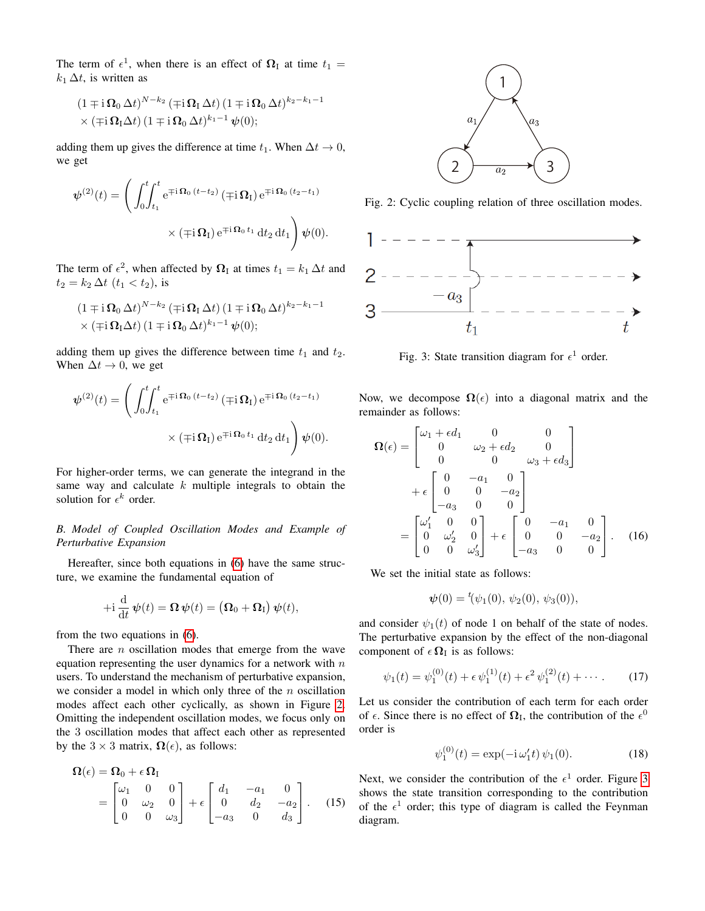The term of  $\epsilon^1$ , when there is an effect of  $\Omega_I$  at time  $t_1 =$  $k_1 \Delta t$ , is written as

$$
(1 \mp i \Omega_0 \Delta t)^{N-k_2} (\mp i \Omega_1 \Delta t) (1 \mp i \Omega_0 \Delta t)^{k_2-k_1-1}
$$
  
× ( \mp i \Omega\_1 \Delta t) (1 \mp i \Omega\_0 \Delta t)^{k\_1-1} \psi(0);

adding them up gives the difference at time  $t_1$ . When  $\Delta t \rightarrow 0$ , we get

$$
\psi^{(2)}(t) = \left(\int_0^t \int_{t_1}^t e^{\mp i \Omega_0 (t - t_2)} (\mp i \Omega_1) e^{\mp i \Omega_0 (t_2 - t_1)} \times (\mp i \Omega_1) e^{\mp i \Omega_0 t_1} dt_2 dt_1 \right) \psi(0).
$$

The term of  $\epsilon^2$ , when affected by  $\Omega_I$  at times  $t_1 = k_1 \Delta t$  and  $t_2 = k_2 \, \Delta t \, (t_1 < t_2)$ , is

$$
(1 \mp i \Omega_0 \Delta t)^{N-k_2} (\mp i \Omega_1 \Delta t) (1 \mp i \Omega_0 \Delta t)^{k_2-k_1-1}
$$
  
× ( \mp i \Omega\_1 \Delta t) (1 \mp i \Omega\_0 \Delta t)^{k\_1-1} \psi(0);

adding them up gives the difference between time  $t_1$  and  $t_2$ . When  $\Delta t \rightarrow 0$ , we get

$$
\psi^{(2)}(t) = \left(\int_0^t \int_{t_1}^t e^{\mp i \Omega_0 (t - t_2)} (\mp i \Omega_{\text{I}}) e^{\mp i \Omega_0 (t_2 - t_1)} \times (\mp i \Omega_{\text{I}}) e^{\mp i \Omega_0 t_1} dt_2 dt_1 \right) \psi(0).
$$

For higher-order terms, we can generate the integrand in the same way and calculate  $k$  multiple integrals to obtain the solution for  $\epsilon^k$  order.

## <span id="page-4-2"></span>*B. Model of Coupled Oscillation Modes and Example of Perturbative Expansion*

Hereafter, since both equations in [\(6\)](#page-3-1) have the same structure, we examine the fundamental equation of

$$
+{\rm i}\,\frac{\rm d}{{\rm d}t}\,\boldsymbol{\psi}(t)=\boldsymbol{\Omega}\,\boldsymbol{\psi}(t)=\big(\boldsymbol{\Omega}_0+\boldsymbol{\Omega}_\mathrm{I}\big)\,\boldsymbol{\psi}(t),
$$

from the two equations in [\(6\)](#page-3-1).

There are  $n$  oscillation modes that emerge from the wave equation representing the user dynamics for a network with  $n$ users. To understand the mechanism of perturbative expansion, we consider a model in which only three of the  $n$  oscillation modes affect each other cyclically, as shown in Figure [2.](#page-4-0) Omitting the independent oscillation modes, we focus only on the 3 oscillation modes that affect each other as represented by the  $3 \times 3$  matrix,  $\Omega(\epsilon)$ , as follows:

$$
\Omega(\epsilon) = \Omega_0 + \epsilon \Omega_{\text{I}}
$$
\n
$$
= \begin{bmatrix} \omega_1 & 0 & 0 \\ 0 & \omega_2 & 0 \\ 0 & 0 & \omega_3 \end{bmatrix} + \epsilon \begin{bmatrix} d_1 & -a_1 & 0 \\ 0 & d_2 & -a_2 \\ -a_3 & 0 & d_3 \end{bmatrix}.
$$
 (15)

<span id="page-4-0"></span>

Fig. 2: Cyclic coupling relation of three oscillation modes.

<span id="page-4-1"></span>

Fig. 3: State transition diagram for  $\epsilon^1$  order.

Now, we decompose  $\Omega(\epsilon)$  into a diagonal matrix and the remainder as follows:

$$
\Omega(\epsilon) = \begin{bmatrix} \omega_1 + \epsilon d_1 & 0 & 0 \\ 0 & \omega_2 + \epsilon d_2 & 0 \\ 0 & 0 & \omega_3 + \epsilon d_3 \end{bmatrix}
$$

$$
+ \epsilon \begin{bmatrix} 0 & -a_1 & 0 \\ 0 & 0 & -a_2 \\ -a_3 & 0 & 0 \end{bmatrix}
$$

$$
= \begin{bmatrix} \omega'_1 & 0 & 0 \\ 0 & \omega'_2 & 0 \\ 0 & 0 & \omega'_3 \end{bmatrix} + \epsilon \begin{bmatrix} 0 & -a_1 & 0 \\ 0 & 0 & -a_2 \\ -a_3 & 0 & 0 \end{bmatrix} . (16)
$$

We set the initial state as follows:

<span id="page-4-4"></span>
$$
\boldsymbol{\psi}(0) = {}^{t}(\psi_1(0), \, \psi_2(0), \, \psi_3(0)),
$$

and consider  $\psi_1(t)$  of node 1 on behalf of the state of nodes. The perturbative expansion by the effect of the non-diagonal component of  $\epsilon \Omega_I$  is as follows:

$$
\psi_1(t) = \psi_1^{(0)}(t) + \epsilon \psi_1^{(1)}(t) + \epsilon^2 \psi_1^{(2)}(t) + \cdots
$$
 (17)

Let us consider the contribution of each term for each order of  $\epsilon$ . Since there is no effect of  $\Omega$ <sub>I</sub>, the contribution of the  $\epsilon$ <sup>0</sup> order is

<span id="page-4-3"></span>
$$
\psi_1^{(0)}(t) = \exp(-i\,\omega_1' t)\,\psi_1(0). \tag{18}
$$

Next, we consider the contribution of the  $\epsilon^1$  order. Figure [3](#page-4-1) shows the state transition corresponding to the contribution of the  $\epsilon^1$  order; this type of diagram is called the Feynman diagram.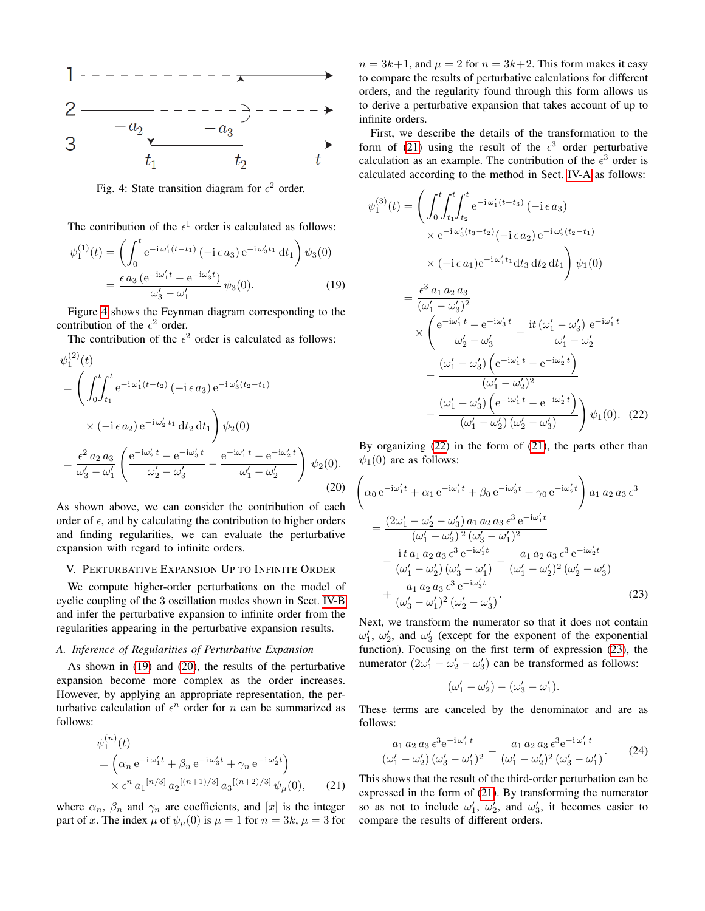<span id="page-5-0"></span>

Fig. 4: State transition diagram for  $\epsilon^2$  order.

The contribution of the  $\epsilon^1$  order is calculated as follows:

$$
\psi_1^{(1)}(t) = \left( \int_0^t e^{-i\omega_1'(t - t_1)} \left( -i\epsilon a_3 \right) e^{-i\omega_3' t_1} dt_1 \right) \psi_3(0)
$$

$$
= \frac{\epsilon a_3 \left( e^{-i\omega_1' t} - e^{-i\omega_3' t} \right)}{\omega_3' - \omega_1'} \psi_3(0). \tag{19}
$$

Figure [4](#page-5-0) shows the Feynman diagram corresponding to the contribution of the  $\epsilon^2$  order.

The contribution of the  $\epsilon^2$  order is calculated as follows:

$$
\psi_1^{(2)}(t)
$$
\n
$$
= \left( \int_0^t \int_{t_1}^t e^{-i \omega_1'(t - t_2)} \left( -i \epsilon a_3 \right) e^{-i \omega_3'(t_2 - t_1)} \times \left( -i \epsilon a_2 \right) e^{-i \omega_2' t_1} dt_2 dt_1 \right) \psi_2(0)
$$
\n
$$
= \frac{\epsilon^2 a_2 a_3}{\omega_3' - \omega_1'} \left( \frac{e^{-i \omega_2' t} - e^{-i \omega_3' t}}{\omega_2' - \omega_3'} - \frac{e^{-i \omega_1' t} - e^{-i \omega_2' t}}{\omega_1' - \omega_2'} \right) \psi_2(0).
$$
\n(20)

As shown above, we can consider the contribution of each order of  $\epsilon$ , and by calculating the contribution to higher orders and finding regularities, we can evaluate the perturbative expansion with regard to infinite orders.

## V. PERTURBATIVE EXPANSION UP TO INFINITE ORDER

We compute higher-order perturbations on the model of cyclic coupling of the 3 oscillation modes shown in Sect. [IV-B](#page-4-2) and infer the perturbative expansion to infinite order from the regularities appearing in the perturbative expansion results.

#### *A. Inference of Regularities of Perturbative Expansion*

As shown in [\(19\)](#page-5-1) and [\(20\)](#page-5-2), the results of the perturbative expansion become more complex as the order increases. However, by applying an appropriate representation, the perturbative calculation of  $\epsilon^n$  order for *n* can be summarized as follows:

$$
\psi_1^{(n)}(t) = \left(\alpha_n e^{-i\omega_1' t} + \beta_n e^{-i\omega_3' t} + \gamma_n e^{-i\omega_2' t}\right) \times \epsilon^n a_1^{[n/3]} a_2^{[(n+1)/3]} a_3^{[(n+2)/3]} \psi_\mu(0), \qquad (21)
$$

where  $\alpha_n$ ,  $\beta_n$  and  $\gamma_n$  are coefficients, and  $[x]$  is the integer part of x. The index  $\mu$  of  $\psi_{\mu}(0)$  is  $\mu = 1$  for  $n = 3k$ ,  $\mu = 3$  for

 $n = 3k+1$ , and  $\mu = 2$  for  $n = 3k+2$ . This form makes it easy to compare the results of perturbative calculations for different orders, and the regularity found through this form allows us to derive a perturbative expansion that takes account of up to infinite orders.

First, we describe the details of the transformation to the form of [\(21\)](#page-5-3) using the result of the  $\epsilon^3$  order perturbative calculation as an example. The contribution of the  $\epsilon^3$  order is calculated according to the method in Sect. [IV-A](#page-3-6) as follows:

<span id="page-5-1"></span>
$$
\psi_{1}^{(3)}(t) = \left(\int_{0}^{t} \int_{t_{1}}^{t} e^{-i \omega_{1}'(t-t_{3})} \left(-i \epsilon a_{3}\right) \times e^{-i \omega_{3}'(t_{3}-t_{2})} \left(-i \epsilon a_{2}\right) e^{-i \omega_{2}'(t_{2}-t_{1})}\n\times (-i \epsilon a_{1}) e^{-i \omega_{1}'t_{1}} dt_{3} dt_{2} dt_{1}\right) \psi_{1}(0)
$$
\n
$$
= \frac{\epsilon^{3} a_{1} a_{2} a_{3}}{(\omega_{1}' - \omega_{3}')^{2}} \times \left(\frac{e^{-i \omega_{1}' t} - e^{-i \omega_{3}' t}}{\omega_{2}' - \omega_{3}'} - \frac{it (\omega_{1}' - \omega_{3}') e^{-i \omega_{1}' t}}{\omega_{1}' - \omega_{2}'}\n- \frac{(\omega_{1}' - \omega_{3}') \left(e^{-i \omega_{1}' t} - e^{-i \omega_{2}' t}\right)}{(\omega_{1}' - \omega_{2}')^{2}}\n- \frac{(\omega_{1}' - \omega_{3}') \left(e^{-i \omega_{1}' t} - e^{-i \omega_{2}' t}\right)}{(\omega_{1}' - \omega_{2}') (\omega_{2}' - \omega_{3}')}\n\right) \psi_{1}(0). (22)
$$

<span id="page-5-4"></span>By organizing [\(22\)](#page-5-4) in the form of [\(21\)](#page-5-3), the parts other than  $\psi_1(0)$  are as follows:

<span id="page-5-2"></span>
$$
\begin{split}\n&\left(\alpha_0 e^{-i\omega_1' t} + \alpha_1 e^{-i\omega_1' t} + \beta_0 e^{-i\omega_3' t} + \gamma_0 e^{-i\omega_2' t}\right) a_1 a_2 a_3 \epsilon^3 \\
&= \frac{(2\omega_1' - \omega_2' - \omega_3') a_1 a_2 a_3 \epsilon^3 e^{-i\omega_1' t}}{(\omega_1' - \omega_2')^2 (\omega_3' - \omega_1')^2} \\
&- \frac{\mathrm{i} t a_1 a_2 a_3 \epsilon^3 e^{-i\omega_1' t}}{(\omega_1' - \omega_2') (\omega_3' - \omega_1')} - \frac{a_1 a_2 a_3 \epsilon^3 e^{-i\omega_2' t}}{(\omega_1' - \omega_2')^2 (\omega_2' - \omega_3')} \\
&+ \frac{a_1 a_2 a_3 \epsilon^3 e^{-i\omega_3' t}}{(\omega_3' - \omega_1')^2 (\omega_2' - \omega_3')}.\n\end{split} \tag{23}
$$

Next, we transform the numerator so that it does not contain  $\omega'_1$ ,  $\omega'_2$ , and  $\omega'_3$  (except for the exponent of the exponential function). Focusing on the first term of expression [\(23\)](#page-5-5), the numerator  $(2\omega'_1 - \omega'_2 - \omega'_3)$  can be transformed as follows:

<span id="page-5-6"></span><span id="page-5-5"></span>
$$
(\omega'_1-\omega'_2)-(\omega'_3-\omega'_1).
$$

These terms are canceled by the denominator and are as follows:

$$
\frac{a_1 a_2 a_3 \epsilon^3 e^{-i \omega'_1 t}}{(\omega'_1 - \omega'_2) (\omega'_3 - \omega'_1)^2} - \frac{a_1 a_2 a_3 \epsilon^3 e^{-i \omega'_1 t}}{(\omega'_1 - \omega'_2)^2 (\omega'_3 - \omega'_1)}.
$$
 (24)

<span id="page-5-3"></span>This shows that the result of the third-order perturbation can be expressed in the form of [\(21\)](#page-5-3). By transforming the numerator so as not to include  $\omega'_1$ ,  $\omega'_2$ , and  $\omega'_3$ , it becomes easier to compare the results of different orders.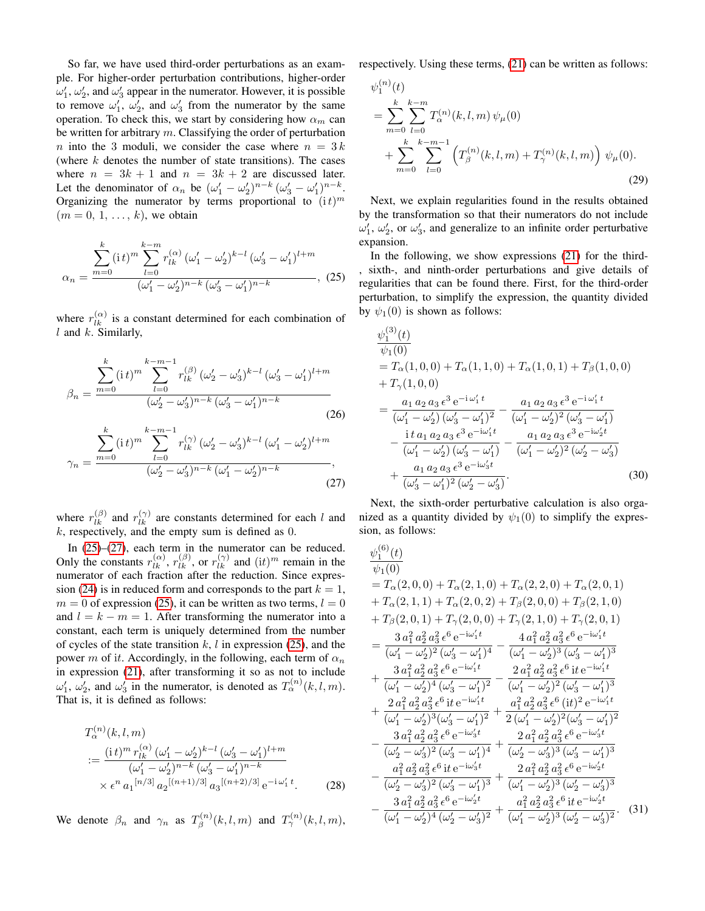So far, we have used third-order perturbations as an example. For higher-order perturbation contributions, higher-order  $\omega'_1$ ,  $\omega'_2$ , and  $\omega'_3$  appear in the numerator. However, it is possible to remove  $\omega'_1$ ,  $\omega'_2$ , and  $\omega'_3$  from the numerator by the same operation. To check this, we start by considering how  $\alpha_m$  can be written for arbitrary  $m$ . Classifying the order of perturbation n into the 3 moduli, we consider the case where  $n = 3k$ (where  $k$  denotes the number of state transitions). The cases where  $n = 3k + 1$  and  $n = 3k + 2$  are discussed later. Let the denominator of  $\alpha_n$  be  $(\omega'_1 - \omega'_2)^{n-k} (\omega'_3 - \omega'_1)^{n-k}$ . Organizing the numerator by terms proportional to  $(it)^m$  $(m = 0, 1, \ldots, k)$ , we obtain

$$
\alpha_n = \frac{\sum_{l=0}^{k} (i \, t)^m \sum_{l=0}^{k-m} r_{lk}^{(\alpha)} \, (\omega'_1 - \omega'_2)^{k-l} \, (\omega'_3 - \omega'_1)^{l+m}}{(\omega'_1 - \omega'_2)^{n-k} \, (\omega'_3 - \omega'_1)^{n-k}}, \tag{25}
$$

where  $r_{lk}^{(\alpha)}$  is a constant determined for each combination of l and  $k$ . Similarly,

$$
\beta_n = \frac{\sum_{m=0}^{k} (i \, t)^m \sum_{l=0}^{k-m-1} r_{lk}^{(\beta)} (\omega'_2 - \omega'_3)^{k-l} (\omega'_3 - \omega'_1)^{l+m}}{(\omega'_2 - \omega'_3)^{n-k} (\omega'_3 - \omega'_1)^{n-k}}
$$
\n
$$
\sum_{l=0}^{k} (i \, t)^m \sum_{l=0}^{k-m-1} r_{lk}^{(\gamma)} (\omega'_2 - \omega'_3)^{k-l} (\omega'_1 - \omega'_2)^{l+m}
$$
\n(26)

$$
\gamma_n = \frac{\overline{n=0}}{(\omega_2' - \omega_3')^{n-k} (\omega_1' - \omega_2')^{n-k}},
$$
\n(27)

where  $r_{lk}^{(\beta)}$  and  $r_{lk}^{(\gamma)}$  are constants determined for each l and  $k$ , respectively, and the empty sum is defined as  $0$ .

In [\(25\)](#page-6-0)–[\(27\)](#page-6-1), each term in the numerator can be reduced. Only the constants  $r_{lk}^{(\alpha)}$ ,  $r_{lk}^{(\beta)}$ , or  $r_{lk}^{(\gamma)}$  and  $(it)^m$  remain in the numerator of each fraction after the reduction. Since expres-sion [\(24\)](#page-5-6) is in reduced form and corresponds to the part  $k = 1$ ,  $m = 0$  of expression [\(25\)](#page-6-0), it can be written as two terms,  $l = 0$ and  $l = k - m = 1$ . After transforming the numerator into a constant, each term is uniquely determined from the number of cycles of the state transition  $k$ ,  $l$  in expression [\(25\)](#page-6-0), and the power m of it. Accordingly, in the following, each term of  $\alpha_n$ in expression [\(21\)](#page-5-3), after transforming it so as not to include  $\omega'_1$ ,  $\omega'_2$ , and  $\omega'_3$  in the numerator, is denoted as  $T_\alpha^{(n)}(k, l, m)$ . That is, it is defined as follows:

$$
T_{\alpha}^{(n)}(k, l, m)
$$
  
\n
$$
:= \frac{(i t)^m r_{lk}^{(\alpha)} (\omega'_1 - \omega'_2)^{k-l} (\omega'_3 - \omega'_1)^{l+m}}{(\omega'_1 - \omega'_2)^{n-k} (\omega'_3 - \omega'_1)^{n-k}}
$$
  
\n
$$
\times \epsilon^n a_1^{[n/3]} a_2^{[(n+1)/3]} a_3^{[(n+2)/3]} e^{-i \omega'_1 t}.
$$
 (28)

We denote  $\beta_n$  and  $\gamma_n$  as  $T_\beta^{(n)}$  $T_{\beta}^{(n)}(k,l,m)$  and  $T_{\gamma}^{(n)}(k,l,m)$ , respectively. Using these terms, [\(21\)](#page-5-3) can be written as follows:

$$
\psi_1^{(n)}(t) = \sum_{m=0}^k \sum_{l=0}^{k-m} T_\alpha^{(n)}(k, l, m) \psi_\mu(0) + \sum_{m=0}^k \sum_{l=0}^{k-m-1} \left( T_\beta^{(n)}(k, l, m) + T_\gamma^{(n)}(k, l, m) \right) \psi_\mu(0).
$$
\n(29)

Next, we explain regularities found in the results obtained by the transformation so that their numerators do not include  $\omega'_1$ ,  $\omega'_2$ , or  $\omega'_3$ , and generalize to an infinite order perturbative expansion.

<span id="page-6-0"></span>In the following, we show expressions [\(21\)](#page-5-3) for the third- , sixth-, and ninth-order perturbations and give details of regularities that can be found there. First, for the third-order perturbation, to simplify the expression, the quantity divided by  $\psi_1(0)$  is shown as follows:

$$
\psi_{1}^{(3)}(t)
$$
\n
$$
= T_{\alpha}(1,0,0) + T_{\alpha}(1,1,0) + T_{\alpha}(1,0,1) + T_{\beta}(1,0,0)
$$
\n
$$
+ T_{\gamma}(1,0,0)
$$
\n
$$
= \frac{a_{1} a_{2} a_{3} \epsilon^{3} e^{-i \omega'_{1} t}}{(\omega'_{1} - \omega'_{2}) (\omega'_{3} - \omega'_{1})^{2}} - \frac{a_{1} a_{2} a_{3} \epsilon^{3} e^{-i \omega'_{1} t}}{(\omega'_{1} - \omega'_{2})^{2} (\omega'_{3} - \omega'_{1})}
$$
\n
$$
- \frac{it a_{1} a_{2} a_{3} \epsilon^{3} e^{-i \omega'_{1} t}}{(\omega'_{1} - \omega'_{2}) (\omega'_{3} - \omega'_{1})} - \frac{a_{1} a_{2} a_{3} \epsilon^{3} e^{-i \omega'_{2} t}}{(\omega'_{1} - \omega'_{2})^{2} (\omega'_{2} - \omega'_{3})}
$$
\n
$$
+ \frac{a_{1} a_{2} a_{3} \epsilon^{3} e^{-i \omega'_{3} t}}{(\omega'_{3} - \omega'_{1})^{2} (\omega'_{2} - \omega'_{3})}.
$$
\n(30)

<span id="page-6-1"></span>Next, the sixth-order perturbative calculation is also organized as a quantity divided by  $\psi_1(0)$  to simplify the expression, as follows:

$$
\frac{\psi_1^{(6)}(t)}{\psi_1(0)} = T_{\alpha}(2,0,0) + T_{\alpha}(2,1,0) + T_{\alpha}(2,2,0) + T_{\alpha}(2,0,1) + T_{\alpha}(2,1,1) + T_{\alpha}(2,0,2) + T_{\beta}(2,0,0) + T_{\beta}(2,1,0) + T_{\beta}(2,0,1) + T_{\gamma}(2,0,0) + T_{\gamma}(2,1,0) + T_{\gamma}(2,0,1) = \frac{3 a_1^2 a_2^2 a_3^2 \epsilon^6 e^{-i\omega_1' t}}{(\omega_1' - \omega_2')^2 (\omega_3' - \omega_1')^4} - \frac{4 a_1^2 a_2^2 a_3^2 \epsilon^6 e^{-i\omega_1' t}}{(\omega_1' - \omega_2')^3 (\omega_3' - \omega_1')^3} + \frac{3 a_1^2 a_2^2 a_3^2 \epsilon^6 e^{-i\omega_1' t}}{(\omega_1' - \omega_2')^4 (\omega_3' - \omega_1')^2} - \frac{2 a_1^2 a_2^2 a_3^2 \epsilon^6 i t e^{-i\omega_1' t}}{(\omega_1' - \omega_2')^2 (\omega_3' - \omega_1')^3} + \frac{2 a_1^2 a_2^2 a_3^2 \epsilon^6 i t e^{-i\omega_1' t}}{(\omega_1' - \omega_2')^3 (\omega_3' - \omega_1')^2} + \frac{a_1^2 a_2^2 a_3^2 \epsilon^6 (it)^2 e^{-i\omega_1' t}}{2 (\omega_1' - \omega_2')^2 (\omega_3' - \omega_1')^2} - \frac{3 a_1^2 a_2^2 a_3^2 \epsilon^6 e^{-i\omega_3' t}}{(\omega_2' - \omega_3')^2 (\omega_3' - \omega_1')^4} + \frac{2 a_1^2 a_2^2 a_3^2 \epsilon^6 e^{-i\omega_3' t}}{(\omega_2' - \omega_3')^3} - \frac{a_1^2 a_2^2 a_3^2 \epsilon^6 i t e^{-i\omega_2' t}}{(\omega_2' - \omega_3')^2 (\omega_3' - \omega_1')^3} - \frac{a_1^2 a_2^2 a_3^2 \epsilon^6 e^{-i\omega_2
$$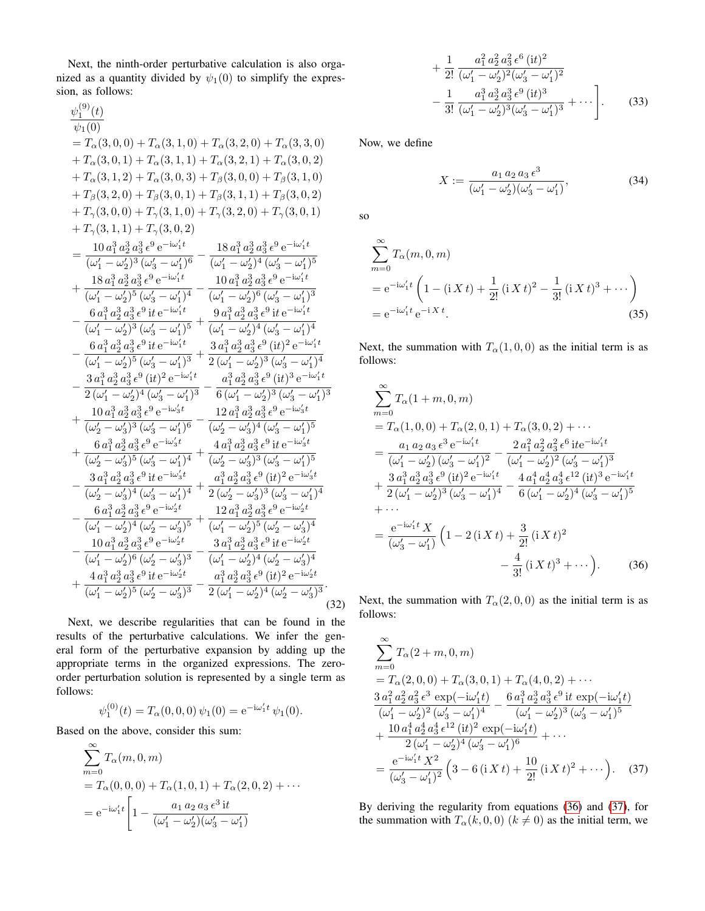Next, the ninth-order perturbative calculation is also organized as a quantity divided by  $\psi_1(0)$  to simplify the expression, as follows:

$$
\begin{array}{l} {\displaystyle \frac{\psi_1^{(9)}(t)}{\psi_1(0)}} \\ {\displaystyle =T_\alpha(3,0,0)+T_\alpha(3,1,0)+T_\alpha(3,2,0)+T_\alpha(3,3,0) \\ {\displaystyle +T_\alpha(3,0,1)+T_\alpha(3,1,1)+T_\alpha(3,2,1)+T_\alpha(3,0,2)} \\ {\displaystyle +T_\alpha(3,1,2)+T_\alpha(3,0,3)+T_\beta(3,0,0)+T_\beta(3,1,0) \\ {\displaystyle +T_\beta(3,2,0)+T_\beta(3,0,1)+T_\beta(3,1,1)+T_\beta(3,0,2)} \\ {\displaystyle +T_\gamma(3,0,0)+T_\gamma(3,1,0)+T_\gamma(3,2,0)+T_\gamma(3,0,1) \\ {\displaystyle +T_\gamma(3,1,1)+T_\gamma(3,0,2)} \\ {\displaystyle =\frac{10\,a_1^3\,a_2^3\,a_3^3\,e^9\,{\rm e}^{-{\rm i}\omega_1^\prime t}}{(\omega_1^\prime-\omega_2^\prime)^3\,(\omega_3^\prime-\omega_1^\prime)^6}-\frac{18\,a_1^3\,a_2^3\,a_3^3\,e^9\,{\rm e}^{-{\rm i}\omega_1^\prime t}}{(\omega_1^\prime-\omega_2^\prime)^5\,(\omega_3^\prime-\omega_1^\prime)^5} \\ {\displaystyle +\frac{18\,a_1^3\,a_2^3\,a_3^3\,e^9\,{\rm e}^{-{\rm i}\omega_1^\prime t}}{(\omega_1^\prime-\omega_2^\prime)^5\,(\omega_3^\prime-\omega_1^\prime)^4}-\frac{10\,a_1^3\,a_2^3\,a_3^3\,e^9\,{\rm e}^{-{\rm i}\omega_1^\prime t}}{(\omega_1^\prime-\omega_2^\prime)^6\,(\omega_3^\prime-\omega_1^\prime)^3} \\ {\displaystyle -\frac{6\,a_1^3\,a_2^3\,a_3^3\,e^9\,{\rm i}\,{\rm e}^{-{\rm i}\omega_1^\prime t}}{(\omega_1^\prime-\omega_2^\prime)^5\,(\omega_3^\prime-\omega_1^\prime)^4}}-\frac{10\,a_1^3\,a_2^3\,a_3^3\,e^9\,{\rm i}{\rm e}^{-{\rm i}\omega_1^\prime t}}{(\omega
$$

Next, we describe regularities that can be found in the results of the perturbative calculations. We infer the general form of the perturbative expansion by adding up the appropriate terms in the organized expressions. The zeroorder perturbation solution is represented by a single term as follows:

$$
\psi_1^{(0)}(t) = T_\alpha(0,0,0) \psi_1(0) = e^{-i\omega_1' t} \psi_1(0).
$$

Based on the above, consider this sum:

$$
\sum_{m=0}^{\infty} T_{\alpha}(m, 0, m)
$$
  
=  $T_{\alpha}(0, 0, 0) + T_{\alpha}(1, 0, 1) + T_{\alpha}(2, 0, 2) + \cdots$   
=  $e^{-i\omega_1' t} \left[ 1 - \frac{a_1 a_2 a_3 \epsilon^3 i t}{(\omega_1' - \omega_2') (\omega_3' - \omega_1')} \right]$ 

$$
+\frac{1}{2!} \frac{a_1^2 a_2^2 a_3^2 \epsilon^6 (it)^2}{(\omega_1' - \omega_2')^2 (\omega_3' - \omega_1')^2} -\frac{1}{3!} \frac{a_1^3 a_2^3 a_3^3 \epsilon^9 (it)^3}{(\omega_1' - \omega_2')^3 (\omega_3' - \omega_1')^3} + \cdots \bigg].
$$
 (33)

Now, we define

<span id="page-7-3"></span><span id="page-7-2"></span>
$$
X := \frac{a_1 a_2 a_3 \epsilon^3}{(\omega'_1 - \omega'_2)(\omega'_3 - \omega'_1)},
$$
(34)

so

$$
\sum_{m=0}^{\infty} T_{\alpha}(m, 0, m)
$$
  
=  $e^{-i\omega'_{1}t} \left(1 - (i X t) + \frac{1}{2!} (i X t)^{2} - \frac{1}{3!} (i X t)^{3} + \cdots \right)$   
=  $e^{-i\omega'_{1}t} e^{-i X t}.$  (35)

Next, the summation with  $T_\alpha(1, 0, 0)$  as the initial term is as follows:

$$
\sum_{m=0}^{\infty} T_{\alpha}(1+m,0,m)
$$
\n
$$
= T_{\alpha}(1,0,0) + T_{\alpha}(2,0,1) + T_{\alpha}(3,0,2) + \cdots
$$
\n
$$
= \frac{a_1 a_2 a_3 \epsilon^3 e^{-i\omega_1' t}}{(\omega_1' - \omega_2') (\omega_3' - \omega_1')^2} - \frac{2 a_1^2 a_2^2 a_3^2 \epsilon^6 i t e^{-i\omega_1' t}}{(\omega_1' - \omega_2')^2 (\omega_3' - \omega_1')^3}
$$
\n
$$
+ \frac{3 a_1^3 a_2^3 a_3^3 \epsilon^9 (it)^2 e^{-i\omega_1' t}}{2 (\omega_1' - \omega_2')^3 (\omega_3' - \omega_1')^4} - \frac{4 a_1^4 a_2^4 a_3^4 \epsilon^{12} (it)^3 e^{-i\omega_1' t}}{6 (\omega_1' - \omega_2')^4 (\omega_3' - \omega_1')^5}
$$
\n
$$
+ \cdots
$$
\n
$$
= \frac{e^{-i\omega_1' t} X}{(\omega_3' - \omega_1')} \left(1 - 2 (iXt) + \frac{3}{2!} (iXt)^2 - \frac{4}{3!} (iXt)^3 + \cdots \right). \tag{36}
$$

Next, the summation with  $T_{\alpha}(2, 0, 0)$  as the initial term is as follows:

<span id="page-7-0"></span>
$$
\sum_{m=0}^{\infty} T_{\alpha}(2+m,0,m)
$$
\n
$$
= T_{\alpha}(2,0,0) + T_{\alpha}(3,0,1) + T_{\alpha}(4,0,2) + \cdots
$$
\n
$$
\frac{3 a_1^2 a_2^2 a_3^2 \epsilon^3 \exp(-i\omega_1' t)}{(\omega_1' - \omega_2')^2 (\omega_3' - \omega_1')^4} - \frac{6 a_1^3 a_2^3 a_3^3 \epsilon^9 \text{ it } \exp(-i\omega_1' t)}{(\omega_1' - \omega_2')^3 (\omega_3' - \omega_1')^5}
$$
\n
$$
+ \frac{10 a_1^4 a_2^4 a_3^4 \epsilon^{12} (\text{it})^2 \exp(-i\omega_1' t)}{2 (\omega_1' - \omega_2')^4 (\omega_3' - \omega_1')^6} + \cdots
$$
\n
$$
= \frac{e^{-i\omega_1' t} X^2}{(\omega_3' - \omega_1')^2} \left(3 - 6 (\text{i} X t) + \frac{10}{2!} (\text{i} X t)^2 + \cdots \right). \quad (37)
$$

<span id="page-7-1"></span>By deriving the regularity from equations [\(36\)](#page-7-0) and [\(37\)](#page-7-1), for the summation with  $T_{\alpha}(k, 0, 0)$   $(k \neq 0)$  as the initial term, we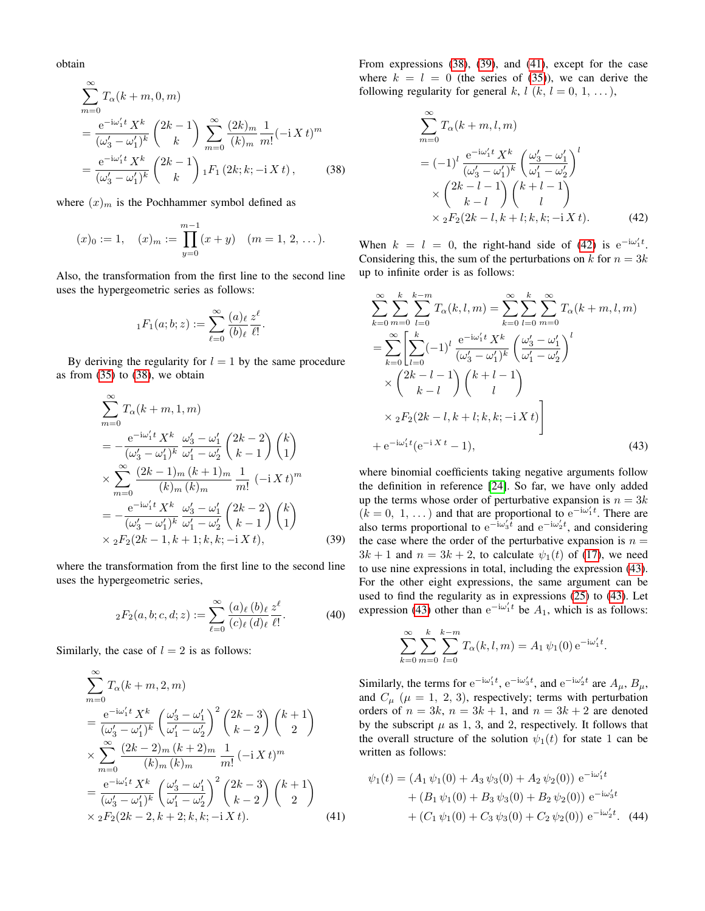obtain

$$
\sum_{m=0}^{\infty} T_{\alpha}(k+m,0,m)
$$
\n
$$
= \frac{e^{-i\omega'_{1}t} X^{k}}{(\omega'_{3} - \omega'_{1})^{k}} {2k-1 \choose k} \sum_{m=0}^{\infty} \frac{(2k)_{m}}{(k)_{m}} \frac{1}{m!} (-i X t)^{m}
$$
\n
$$
= \frac{e^{-i\omega'_{1}t} X^{k}}{(\omega'_{3} - \omega'_{1})^{k}} {2k-1 \choose k} {}_{1}F_{1} (2k; k; -i X t), \qquad (38)
$$

where  $(x)<sub>m</sub>$  is the Pochhammer symbol defined as

$$
(x)_0 := 1
$$
,  $(x)_m := \prod_{y=0}^{m-1} (x+y)$   $(m = 1, 2, ...).$ 

Also, the transformation from the first line to the second line uses the hypergeometric series as follows:

$$
{}_1F_1(a;b;z) := \sum_{\ell=0}^{\infty} \frac{(a)_{\ell}}{(b)_{\ell}} \frac{z^{\ell}}{\ell!}
$$

.

By deriving the regularity for  $l = 1$  by the same procedure as from  $(35)$  to  $(38)$ , we obtain

$$
\sum_{m=0}^{\infty} T_{\alpha}(k+m,1,m)
$$
\n
$$
= -\frac{e^{-i\omega'_{1}t} X^{k}}{(\omega'_{3} - \omega'_{1})^{k}} \frac{\omega'_{3} - \omega'_{1}}{\omega'_{1} - \omega'_{2}} {2k - 2 \choose k - 1} {k \choose 1}
$$
\n
$$
\times \sum_{m=0}^{\infty} \frac{(2k-1)_{m}(k+1)_{m}}{(k)_{m}(k)_{m}} \frac{1}{m!} (-i X t)^{m}
$$
\n
$$
= -\frac{e^{-i\omega'_{1}t} X^{k}}{(\omega'_{3} - \omega'_{1})^{k}} \frac{\omega'_{3} - \omega'_{1}}{\omega'_{1} - \omega'_{2}} {2k - 2 \choose k - 1} {k \choose 1}
$$
\n
$$
\times {}_{2}F_{2}(2k-1, k+1; k, k; -i X t),
$$
\n(39)

where the transformation from the first line to the second line uses the hypergeometric series,

$$
{}_2F_2(a,b;c,d;z) := \sum_{\ell=0}^{\infty} \frac{(a)_{\ell}(b)_{\ell}}{(c)_{\ell}(d)_{\ell}} \frac{z^{\ell}}{\ell!}.
$$
 (40)

Similarly, the case of  $l = 2$  is as follows:

$$
\sum_{m=0}^{\infty} T_{\alpha}(k+m,2,m)
$$
\n
$$
= \frac{e^{-i\omega_1' t} X^k}{(\omega_3' - \omega_1')^k} \left(\frac{\omega_3' - \omega_1'}{\omega_1' - \omega_2'}\right)^2 \binom{2k-3}{k-2} \binom{k+1}{2}
$$
\n
$$
\times \sum_{m=0}^{\infty} \frac{(2k-2)_m (k+2)_m}{(k)_m (k)_m} \frac{1}{m!} (-i X t)^m
$$
\n
$$
= \frac{e^{-i\omega_1' t} X^k}{(\omega_3' - \omega_1')^k} \left(\frac{\omega_3' - \omega_1'}{\omega_1' - \omega_2'}\right)^2 \binom{2k-3}{k-2} \binom{k+1}{2}
$$
\n
$$
\times {}_2F_2(2k-2, k+2; k, k; -i X t).
$$
\n(41)

From expressions [\(38\)](#page-8-0), [\(39\)](#page-8-1), and [\(41\)](#page-8-2), except for the case where  $k = l = 0$  (the series of [\(35\)](#page-7-2)), we can derive the following regularity for general k,  $l$  (k,  $l = 0, 1, \ldots$ ),

<span id="page-8-3"></span>
$$
\sum_{m=0}^{\infty} T_{\alpha}(k+m, l, m)
$$
  
=  $(-1)^l \frac{e^{-i\omega_1' t} X^k}{(\omega_3' - \omega_1')^k} \left(\frac{\omega_3' - \omega_1'}{\omega_1' - \omega_2'}\right)^l$   
 $\times \binom{2k - l - 1}{k - l} \binom{k + l - 1}{l}$   
 $\times {}_2F_2(2k - l, k + l; k, k; -i X t).$  (42)

<span id="page-8-0"></span>When  $k = l = 0$ , the right-hand side of [\(42\)](#page-8-3) is  $e^{-i\omega_1 t}$ . Considering this, the sum of the perturbations on k for  $n = 3k$ up to infinite order is as follows:

$$
\sum_{k=0}^{\infty} \sum_{m=0}^{k} \sum_{l=0}^{k-m} T_{\alpha}(k, l, m) = \sum_{k=0}^{\infty} \sum_{l=0}^{k} \sum_{m=0}^{\infty} T_{\alpha}(k+m, l, m)
$$
  
= 
$$
\sum_{k=0}^{\infty} \left[ \sum_{l=0}^{k} (-1)^{l} \frac{e^{-i\omega'_{1}t} X^{k}}{(\omega'_{3} - \omega'_{1})^{k}} \left( \frac{\omega'_{3} - \omega'_{1}}{\omega'_{1} - \omega'_{2}} \right)^{l}
$$
  

$$
\times \left( \frac{2k - l - 1}{k - l} \right) \left( \frac{k + l - 1}{l} \right)
$$
  

$$
\times {}_{2}F_{2}(2k - l, k + l; k, k; -i X t)
$$
  
+ 
$$
e^{-i\omega'_{1}t} (e^{-iXt} - 1),
$$
 (43)

<span id="page-8-4"></span><span id="page-8-1"></span>where binomial coefficients taking negative arguments follow the definition in reference [\[24\]](#page-15-17). So far, we have only added up the terms whose order of perturbative expansion is  $n = 3k$  $(k = 0, 1, ...)$  and that are proportional to  $e^{-i\omega_1 t}$ . There are also terms proportional to  $e^{-i\omega_3 t}$  and  $e^{-i\omega_2 t}$ , and considering the case where the order of the perturbative expansion is  $n =$  $3k + 1$  and  $n = 3k + 2$ , to calculate  $\psi_1(t)$  of [\(17\)](#page-4-3), we need to use nine expressions in total, including the expression [\(43\)](#page-8-4). For the other eight expressions, the same argument can be used to find the regularity as in expressions [\(25\)](#page-6-0) to [\(43\)](#page-8-4). Let expression [\(43\)](#page-8-4) other than  $e^{-i\omega_1 t}$  be  $A_1$ , which is as follows:

$$
\sum_{k=0}^{\infty} \sum_{m=0}^{k} \sum_{l=0}^{k-m} T_{\alpha}(k, l, m) = A_1 \psi_1(0) e^{-i\omega'_1 t}.
$$

Similarly, the terms for  $e^{-i\omega_1 t}$ ,  $e^{-i\omega_3 t}$ , and  $e^{-i\omega_2 t}$  are  $A_\mu$ ,  $B_\mu$ , and  $C_{\mu}$  ( $\mu = 1, 2, 3$ ), respectively; terms with perturbation orders of  $n = 3k$ ,  $n = 3k + 1$ , and  $n = 3k + 2$  are denoted by the subscript  $\mu$  as 1, 3, and 2, respectively. It follows that the overall structure of the solution  $\psi_1(t)$  for state 1 can be written as follows:

<span id="page-8-5"></span><span id="page-8-2"></span>
$$
\psi_1(t) = (A_1 \psi_1(0) + A_3 \psi_3(0) + A_2 \psi_2(0)) e^{-i\omega'_1 t}
$$
  
+ 
$$
(B_1 \psi_1(0) + B_3 \psi_3(0) + B_2 \psi_2(0)) e^{-i\omega'_3 t}
$$
  
+ 
$$
(C_1 \psi_1(0) + C_3 \psi_3(0) + C_2 \psi_2(0)) e^{-i\omega'_2 t}.
$$
 (44)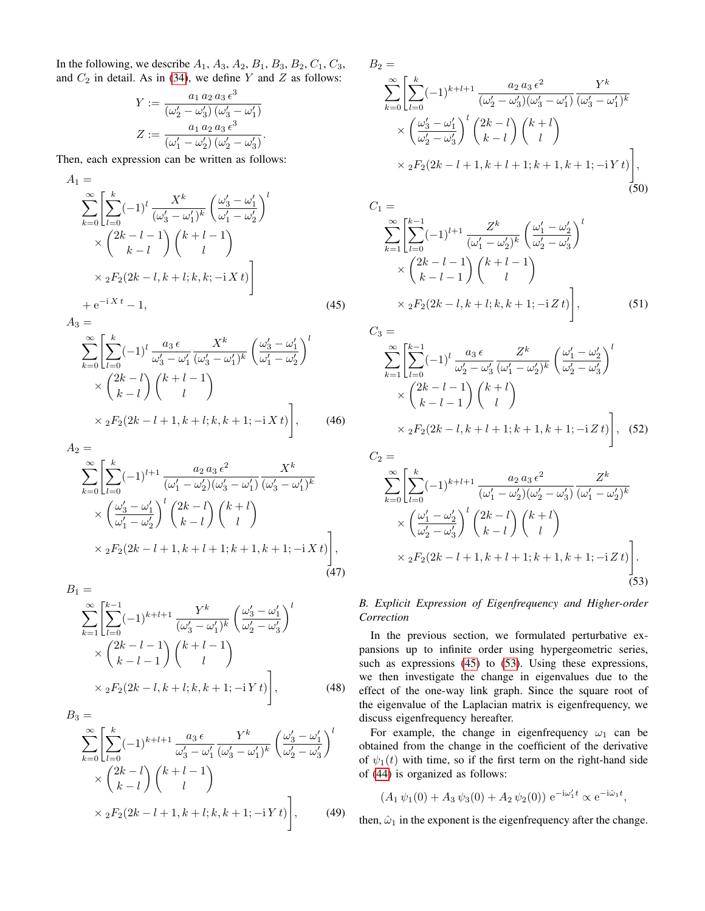In the following, we describe  $A_1$ ,  $A_3$ ,  $A_2$ ,  $B_1$ ,  $B_3$ ,  $B_2$ ,  $C_1$ ,  $C_3$ , and  $C_2$  in detail. As in [\(34\)](#page-7-3), we define Y and Z as follows:

$$
Y := \frac{a_1 a_2 a_3 \epsilon^3}{(\omega'_2 - \omega'_3) (\omega'_3 - \omega'_1)}
$$
  

$$
Z := \frac{a_1 a_2 a_3 \epsilon^3}{(\omega'_1 - \omega'_2) (\omega'_2 - \omega'_3)}.
$$

Then, each expression can be written as follows:

$$
A_{1} = \sum_{k=0}^{\infty} \left[ \sum_{l=0}^{k} (-1)^{l} \frac{X^{k}}{(\omega_{3}^{l} - \omega_{1}^{l})^{k}} \left( \frac{\omega_{3}^{l} - \omega_{1}^{l}}{\omega_{1}^{l} - \omega_{2}^{l}} \right)^{l} \right] \times \left( \frac{2k - l - 1}{k - l} \right) \left( \frac{k + l - 1}{l} \right) \times {}_{2}F_{2}(2k - l, k + l; k, k; -i X t) + e^{-i X t} - 1,
$$
\n(45)

$$
A_3 = \sum_{k=0}^{\infty} \left[ \sum_{l=0}^k (-1)^l \frac{a_3 \epsilon}{\omega'_3 - \omega'_1} \frac{X^k}{(\omega'_3 - \omega'_1)^k} \left( \frac{\omega'_3 - \omega'_1}{\omega'_1 - \omega'_2} \right)^l \right]
$$

$$
\times \left( \frac{2k - l}{k - l} \right) \left( \frac{k + l - 1}{l} \right)
$$

$$
\times {}_{2}F_{2}(2k-l+1,k+l;k,k+1;-i X t)\Bigg],\qquad(46)
$$

$$
A_{2} =
$$

$$
\sum_{k=0}^{\infty} \left[ \sum_{l=0}^{k} (-1)^{l+1} \frac{a_2 a_3 \epsilon^2}{(\omega'_1 - \omega'_2)(\omega'_3 - \omega'_1)} \frac{X^k}{(\omega'_3 - \omega'_1)^k} \times \left( \frac{\omega'_3 - \omega'_1}{\omega'_1 - \omega'_2} \right)^l \binom{2k - l}{k - l} \binom{k + l}{l} \times {}_2F_2(2k - l + 1, k + l + 1; k + 1, k + 1; -i X t) \right],
$$
\n(47)

$$
B_{1} = \sum_{k=1}^{\infty} \left[ \sum_{l=0}^{k-1} (-1)^{k+l+1} \frac{Y^{k}}{(\omega_{3}^{\prime} - \omega_{1}^{\prime})^{k}} \left( \frac{\omega_{3}^{\prime} - \omega_{1}^{\prime}}{\omega_{2}^{\prime} - \omega_{3}^{\prime}} \right)^{l} \right] \times \left( \frac{2k - l - 1}{k - l - 1} \right) \left( \frac{k + l - 1}{l} \right) \times {}_{2}F_{2}(2k - l, k + l; k, k + 1; -iYt) \Bigg], \tag{48}
$$
\n
$$
B_{2} = \left( \frac{\sum_{l=0}^{k-1} (-1)^{k+l+1} \left( \frac{\omega_{3}^{\prime}}{\omega_{3}^{\prime}} - \frac{\omega_{3}^{\prime}}{\omega_{3}^{\prime}} \right)^{l}}{\omega_{3}^{\prime}} \right) \times \left( \frac{\sum_{l=0}^{k-1} (-1)^{k+l+1} \left( \frac{\omega_{3}^{\prime}}{\omega_{3}^{\prime}} - \frac{\omega_{3}^{\prime}}{\omega_{3}^{\prime}} \right)^{l}} \right), \tag{48}
$$

$$
\sum_{k=0}^{\infty} \left[ \sum_{l=0}^{k} (-1)^{k+l+1} \frac{a_3 \epsilon}{\omega'_3 - \omega'_1} \frac{Y^k}{(\omega'_3 - \omega'_1)^k} \left( \frac{\omega'_3 - \omega'_1}{\omega'_2 - \omega'_3} \right)^l \right] \times \left( \frac{2k - l}{k - l} \right) \left( \frac{k + l - 1}{l} \right) \times {}_{2}F_2(2k - l + 1, k + l; k, k + 1; -iY t) \right], \tag{49}
$$

$$
B_2 = \sum_{k=0}^{\infty} \left[ \sum_{l=0}^{k} (-1)^{k+l+1} \frac{a_2 a_3 \epsilon^2}{(\omega'_2 - \omega'_3)(\omega'_3 - \omega'_1)} \frac{Y^k}{(\omega'_3 - \omega'_1)^k} \right] \times \left( \frac{\omega'_3 - \omega'_1}{\omega'_2 - \omega'_3} \right)^l \binom{2k - l}{k - l} \binom{k + l}{l} \times {}_2F_2(2k - l + 1, k + l + 1; k + 1, k + 1; -iYt) \Bigg],
$$
\n(50)

$$
C_1 = \sum_{k=1}^{\infty} \left[ \sum_{l=0}^{k-1} (-1)^{l+1} \frac{Z^k}{(\omega_1' - \omega_2')^k} \left( \frac{\omega_1' - \omega_2'}{\omega_2' - \omega_3'} \right)^l \right] \times \left( \frac{2k - l - 1}{k - l - 1} \right) \left( \frac{k + l - 1}{l} \right) \times {}_2F_2(2k - l, k + l; k, k + 1; -i Z t) \right], \tag{51}
$$

<span id="page-9-0"></span>
$$
C_3 =
$$

$$
\sum_{k=1}^{\infty} \left[ \sum_{l=0}^{k-1} (-1)^l \frac{a_3 \epsilon}{\omega'_2 - \omega'_3} \frac{Z^k}{(\omega'_1 - \omega'_2)^k} \left( \frac{\omega'_1 - \omega'_2}{\omega'_2 - \omega'_3} \right)^l \right] \times \left( \frac{2k - l - 1}{k - l - 1} \right) \left( \frac{k + l}{l} \right) \times {}_2F_2(2k - l, k + l + 1; k + 1, k + 1; -i Z t) \right], \quad (52)
$$

$$
C_2 = \sum_{k=0}^{\infty} \left[ \sum_{l=0}^{k} (-1)^{k+l+1} \frac{a_2 a_3 \epsilon^2}{(\omega'_1 - \omega'_2)(\omega'_2 - \omega'_3)} \frac{Z^k}{(\omega'_1 - \omega'_2)^k} \right. \\
\left. \times \left( \frac{\omega'_1 - \omega'_2}{\omega'_2 - \omega'_3} \right)^l \binom{2k-l}{k-l} \binom{k+l}{l} \\
\times {}_2F_2(2k-l+1, k+l+1; k+1, k+1; -i Zt) \right].\n\tag{53}
$$

# <span id="page-9-1"></span>*B. Explicit Expression of Eigenfrequency and Higher-order Correction*

In the previous section, we formulated perturbative expansions up to infinite order using hypergeometric series, such as expressions [\(45\)](#page-9-0) to [\(53\)](#page-9-1). Using these expressions, we then investigate the change in eigenvalues due to the effect of the one-way link graph. Since the square root of the eigenvalue of the Laplacian matrix is eigenfrequency, we discuss eigenfrequency hereafter.

For example, the change in eigenfrequency  $\omega_1$  can be obtained from the change in the coefficient of the derivative of  $\psi_1(t)$  with time, so if the first term on the right-hand side of [\(44\)](#page-8-5) is organized as follows:

$$
(A_1 \psi_1(0) + A_3 \psi_3(0) + A_2 \psi_2(0)) e^{-i\omega'_1 t} \propto e^{-i\hat{\omega}_1 t},
$$

then,  $\hat{\omega}_1$  in the exponent is the eigenfrequency after the change.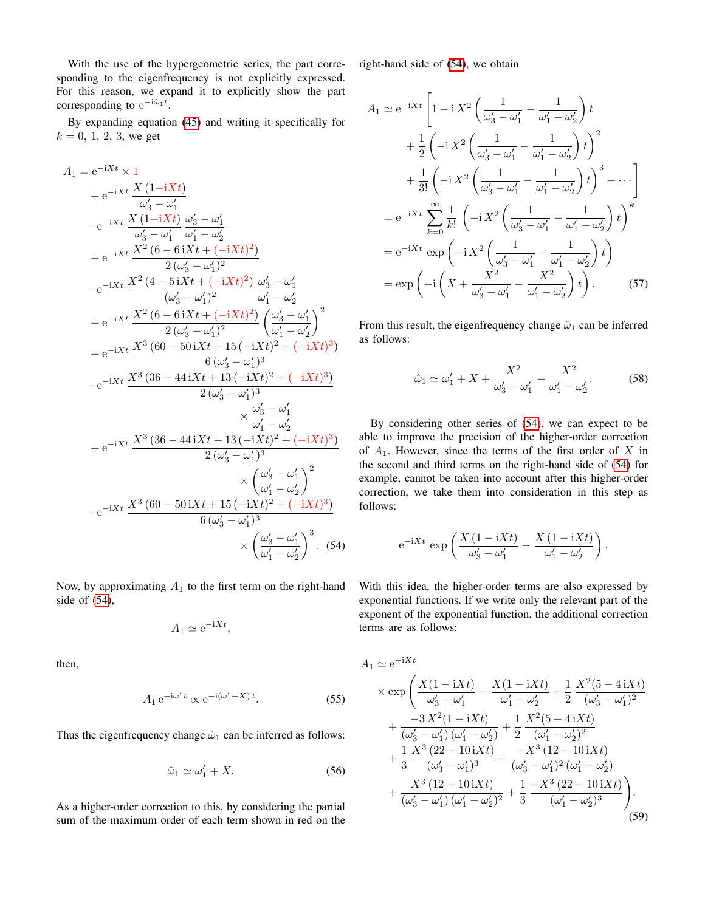With the use of the hypergeometric series, the part corresponding to the eigenfrequency is not explicitly expressed. For this reason, we expand it to explicitly show the part corresponding to  $e^{-i\hat{\omega}_1 t}$ .

By expanding equation [\(45\)](#page-9-0) and writing it specifically for  $k = 0, 1, 2, 3$ , we get

$$
A_{1} = e^{-iXt} \times 1
$$
  
\n
$$
+ e^{-iXt} \frac{X (1-iXt)}{\omega'_{3} - \omega'_{1}}
$$
  
\n
$$
-e^{-iXt} \frac{X (1-iXt)}{\omega'_{3} - \omega'_{1}} \frac{\omega'_{3} - \omega'_{1}}{\omega'_{1} - \omega'_{2}}
$$
  
\n
$$
+ e^{-iXt} \frac{X^{2} (6-6iXt + (-iXt)^{2})}{2(\omega'_{3} - \omega'_{1})^{2}}
$$
  
\n
$$
-e^{-iXt} \frac{X^{2} (4-5iXt + (-iXt)^{2}) \omega'_{3} - \omega'_{1}}{(\omega'_{3} - \omega'_{1})^{2}} \frac{\omega'_{3} - \omega'_{1}}{\omega'_{1} - \omega'_{2}}
$$
  
\n
$$
+ e^{-iXt} \frac{X^{2} (6-6iXt + (-iXt)^{2})}{2(\omega'_{3} - \omega'_{1})^{2}} \left(\frac{\omega'_{3} - \omega'_{1}}{\omega'_{1} - \omega'_{2}}\right)^{2}
$$
  
\n
$$
+ e^{-iXt} \frac{X^{3} (60-50iXt + 15(-iXt)^{2} + (-iXt)^{3})}{6(\omega'_{3} - \omega'_{1})^{3}}
$$
  
\n
$$
-e^{-iXt} \frac{X^{3} (36-44iXt + 13(-iXt)^{2} + (-iXt)^{3})}{2(\omega'_{3} - \omega'_{1})^{3}} \times \frac{\omega'_{3} - \omega'_{1}}{\omega'_{1} - \omega'_{2}}
$$
  
\n
$$
+ e^{-iXt} \frac{X^{3} (36-44iXt + 13(-iXt)^{2} + (-iXt)^{3})}{2(\omega'_{3} - \omega'_{1})^{3}} \times \left(\frac{\omega'_{3} - \omega'_{1}}{\omega'_{1} - \omega'_{2}}\right)^{2}
$$
  
\n
$$
-e^{-iXt} \frac{X^{3} (60-50iXt + 15(-iXt)^{2} + (-iXt)^{3})}{6(\omega'_{3} - \omega'_{1})^{3}} \times \left(\frac{\omega'_{3} - \omega'_{1}}{\
$$

Now, by approximating  $A_1$  to the first term on the right-hand side of [\(54\)](#page-10-0),

$$
A_1 \simeq e^{-iXt},
$$

then,

$$
A_1 e^{-i\omega_1' t} \propto e^{-i(\omega_1' + X) t}.
$$
 (55)

<span id="page-10-1"></span> $\boldsymbol{A}$ 

Thus the eigenfrequency change  $\hat{\omega}_1$  can be inferred as follows:

$$
\hat{\omega}_1 \simeq \omega'_1 + X. \tag{56}
$$

As a higher-order correction to this, by considering the partial sum of the maximum order of each term shown in red on the right-hand side of [\(54\)](#page-10-0), we obtain

$$
A_{1} \simeq e^{-iXt} \left[ 1 - i X^{2} \left( \frac{1}{\omega_{3}^{\prime} - \omega_{1}^{\prime}} - \frac{1}{\omega_{1}^{\prime} - \omega_{2}^{\prime}} \right) t + \frac{1}{2} \left( -i X^{2} \left( \frac{1}{\omega_{3}^{\prime} - \omega_{1}^{\prime}} - \frac{1}{\omega_{1}^{\prime} - \omega_{2}^{\prime}} \right) t \right)^{2} + \frac{1}{3!} \left( -i X^{2} \left( \frac{1}{\omega_{3}^{\prime} - \omega_{1}^{\prime}} - \frac{1}{\omega_{1}^{\prime} - \omega_{2}^{\prime}} \right) t \right)^{3} + \cdots \right]
$$
  
\n
$$
= e^{-iXt} \sum_{k=0}^{\infty} \frac{1}{k!} \left( -i X^{2} \left( \frac{1}{\omega_{3}^{\prime} - \omega_{1}^{\prime}} - \frac{1}{\omega_{1}^{\prime} - \omega_{2}^{\prime}} \right) t \right)^{k}
$$
  
\n
$$
= e^{-iXt} \exp \left( -i X^{2} \left( \frac{1}{\omega_{3}^{\prime} - \omega_{1}^{\prime}} - \frac{1}{\omega_{1}^{\prime} - \omega_{2}^{\prime}} \right) t \right)
$$
  
\n
$$
= \exp \left( -i \left( X + \frac{X^{2}}{\omega_{3}^{\prime} - \omega_{1}^{\prime}} - \frac{X^{2}}{\omega_{1}^{\prime} - \omega_{2}^{\prime}} \right) t \right).
$$
 (57)

From this result, the eigenfrequency change  $\hat{\omega}_1$  can be inferred as follows:

<span id="page-10-2"></span>
$$
\hat{\omega}_1 \simeq \omega_1' + X + \frac{X^2}{\omega_3' - \omega_1'} - \frac{X^2}{\omega_1' - \omega_2'}.
$$
 (58)

By considering other series of [\(54\)](#page-10-0), we can expect to be able to improve the precision of the higher-order correction of  $A_1$ . However, since the terms of the first order of X in the second and third terms on the right-hand side of [\(54\)](#page-10-0) for example, cannot be taken into account after this higher-order correction, we take them into consideration in this step as follows:

$$
\mathrm{e}^{-\mathrm{i} X t} \, \exp\left(\frac{X\left(1-\mathrm{i} X t\right)}{\omega_3' - \omega_1'} - \frac{X\left(1-\mathrm{i} X t\right)}{\omega_1' - \omega_2'}\right).
$$

<span id="page-10-0"></span>With this idea, the higher-order terms are also expressed by exponential functions. If we write only the relevant part of the exponent of the exponential function, the additional correction terms are as follows:

$$
1 \simeq e^{-iXt}
$$
  
\n
$$
\times \exp\left(\frac{X(1-iXt)}{\omega'_3 - \omega'_1} - \frac{X(1-iXt)}{\omega'_1 - \omega'_2} + \frac{1}{2}\frac{X^2(5-4iXt)}{(\omega'_3 - \omega'_1)^2} + \frac{-3X^2(1-iXt)}{(\omega'_3 - \omega'_1)(\omega'_1 - \omega'_2)} + \frac{1}{2}\frac{X^2(5-4iXt)}{(\omega'_1 - \omega'_2)^2} + \frac{1}{3}\frac{X^3(22-10iXt)}{(\omega'_3 - \omega'_1)^3} + \frac{-X^3(12-10iXt)}{(\omega'_3 - \omega'_1)^2(\omega'_1 - \omega'_2)} + \frac{X^3(12-10iXt)}{(\omega'_3 - \omega'_1)(\omega'_1 - \omega'_2)^2} + \frac{1}{3}\frac{-X^3(22-10iXt)}{(\omega'_1 - \omega'_2)^3}\right).
$$
\n(59)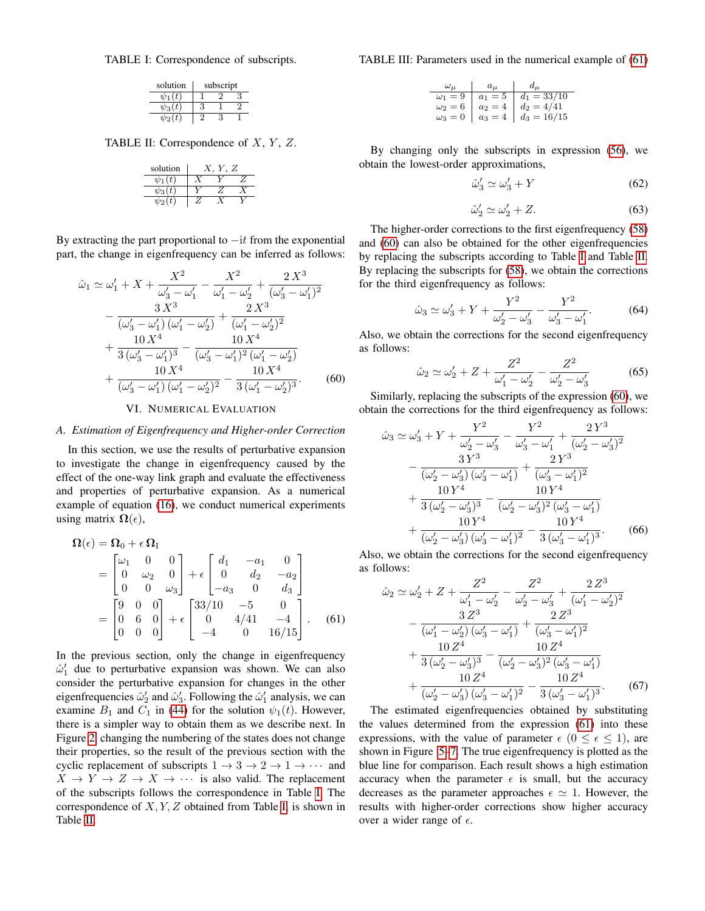<span id="page-11-0"></span>TABLE I: Correspondence of subscripts.

| solution    | subscript |  |  |
|-------------|-----------|--|--|
| $\psi_1(t)$ |           |  |  |
| $\psi_3(t)$ |           |  |  |
| $\psi_2(t)$ |           |  |  |

<span id="page-11-1"></span>TABLE II: Correspondence of  $X, Y, Z$ .

| solution    | . Z |  |  |
|-------------|-----|--|--|
| $\psi_1(t)$ |     |  |  |
| $\psi_3(t)$ |     |  |  |
| $\psi_2(t)$ |     |  |  |

By extracting the part proportional to  $-it$  from the exponential part, the change in eigenfrequency can be inferred as follows:

$$
\hat{\omega}_1 \simeq \omega'_1 + X + \frac{X^2}{\omega'_3 - \omega'_1} - \frac{X^2}{\omega'_1 - \omega'_2} + \frac{2X^3}{(\omega'_3 - \omega'_1)^2} \n- \frac{3X^3}{(\omega'_3 - \omega'_1)(\omega'_1 - \omega'_2)} + \frac{2X^3}{(\omega'_1 - \omega'_2)^2} \n+ \frac{10X^4}{3(\omega'_3 - \omega'_1)^3} - \frac{10X^4}{(\omega'_3 - \omega'_1)^2(\omega'_1 - \omega'_2)} \n+ \frac{10X^4}{(\omega'_3 - \omega'_1)(\omega'_1 - \omega'_2)^2} - \frac{10X^4}{3(\omega'_1 - \omega'_2)^3}.
$$
\n(60)

## VI. NUMERICAL EVALUATION

## *A. Estimation of Eigenfrequency and Higher-order Correction*

In this section, we use the results of perturbative expansion to investigate the change in eigenfrequency caused by the effect of the one-way link graph and evaluate the effectiveness and properties of perturbative expansion. As a numerical example of equation [\(16\)](#page-4-4), we conduct numerical experiments using matrix  $\Omega(\epsilon)$ ,

$$
\Omega(\epsilon) = \Omega_0 + \epsilon \Omega_{\text{I}} \n= \begin{bmatrix} \omega_1 & 0 & 0 \\ 0 & \omega_2 & 0 \\ 0 & 0 & \omega_3 \end{bmatrix} + \epsilon \begin{bmatrix} d_1 & -a_1 & 0 \\ 0 & d_2 & -a_2 \\ -a_3 & 0 & d_3 \end{bmatrix} \n= \begin{bmatrix} 9 & 0 & 0 \\ 0 & 6 & 0 \\ 0 & 0 & 0 \end{bmatrix} + \epsilon \begin{bmatrix} 33/10 & -5 & 0 \\ 0 & 4/41 & -4 \\ -4 & 0 & 16/15 \end{bmatrix}.
$$
\n(61)

In the previous section, only the change in eigenfrequency  $\hat{\omega}'_1$  due to perturbative expansion was shown. We can also consider the perturbative expansion for changes in the other eigenfrequencies  $\hat{\omega}_2'$  and  $\hat{\omega}_3'$ . Following the  $\hat{\omega}_1'$  analysis, we can examine  $B_1$  and  $C_1$  in [\(44\)](#page-8-5) for the solution  $\psi_1(t)$ . However, there is a simpler way to obtain them as we describe next. In Figure [2,](#page-4-0) changing the numbering of the states does not change their properties, so the result of the previous section with the cyclic replacement of subscripts  $1 \rightarrow 3 \rightarrow 2 \rightarrow 1 \rightarrow \cdots$  and  $X \rightarrow Y \rightarrow Z \rightarrow X \rightarrow \cdots$  is also valid. The replacement of the subscripts follows the correspondence in Table [I.](#page-11-0) The correspondence of  $X, Y, Z$  obtained from Table [I,](#page-11-0) is shown in Table [II.](#page-11-1)

TABLE III: Parameters used in the numerical example of [\(61\)](#page-11-2)

| $\omega_{\mu}$   $a_{\mu}$   $d_{\mu}$ |                                                                                                                                                                            |
|----------------------------------------|----------------------------------------------------------------------------------------------------------------------------------------------------------------------------|
|                                        |                                                                                                                                                                            |
|                                        |                                                                                                                                                                            |
|                                        | $\begin{array}{c cc}\n\hline\nu_1 = 9 & a_1 = 5 & d_1 = 33/10 \\ \hline\n\omega_2 = 6 & a_2 = 4 & d_2 = 4/41 \\ \hline\n\omega_3 = 0 & a_3 = 4 & d_3 = 16/15\n\end{array}$ |

By changing only the subscripts in expression [\(56\)](#page-10-1), we obtain the lowest-order approximations,

$$
\hat{\omega}_3' \simeq \omega_3' + Y \tag{62}
$$

$$
\hat{\omega}_2' \simeq \omega_2' + Z. \tag{63}
$$

The higher-order corrections to the first eigenfrequency [\(58\)](#page-10-2) and [\(60\)](#page-11-3) can also be obtained for the other eigenfrequencies by replacing the subscripts according to Table [I](#page-11-0) and Table [II.](#page-11-1) By replacing the subscripts for [\(58\)](#page-10-2), we obtain the corrections for the third eigenfrequency as follows:

$$
\hat{\omega}_3 \simeq \omega'_3 + Y + \frac{Y^2}{\omega'_2 - \omega'_3} - \frac{Y^2}{\omega'_3 - \omega'_1}.
$$
 (64)

Also, we obtain the corrections for the second eigenfrequency as follows:

$$
\hat{\omega}_2 \simeq \omega'_2 + Z + \frac{Z^2}{\omega'_1 - \omega'_2} - \frac{Z^2}{\omega'_2 - \omega'_3} \tag{65}
$$

<span id="page-11-3"></span>Similarly, replacing the subscripts of the expression [\(60\)](#page-11-3), we obtain the corrections for the third eigenfrequency as follows:

$$
\hat{\omega}_3 \simeq \omega'_3 + Y + \frac{Y^2}{\omega'_2 - \omega'_3} - \frac{Y^2}{\omega'_3 - \omega'_1} + \frac{2Y^3}{(\omega'_2 - \omega'_3)^2} \n- \frac{3Y^3}{(\omega'_2 - \omega'_3)(\omega'_3 - \omega'_1)} + \frac{2Y^3}{(\omega'_3 - \omega'_1)^2} \n+ \frac{10Y^4}{3(\omega'_2 - \omega'_3)^3} - \frac{10Y^4}{(\omega'_2 - \omega'_3)^2(\omega'_3 - \omega'_1)} \n+ \frac{10Y^4}{(\omega'_2 - \omega'_3)(\omega'_3 - \omega'_1)^2} - \frac{10Y^4}{3(\omega'_3 - \omega'_1)^3}.
$$
\n(66)

Also, we obtain the corrections for the second eigenfrequency as follows:

<span id="page-11-2"></span>
$$
\hat{\omega}_2 \simeq \omega'_2 + Z + \frac{Z^2}{\omega'_1 - \omega'_2} - \frac{Z^2}{\omega'_2 - \omega'_3} + \frac{2 Z^3}{(\omega'_1 - \omega'_2)^2} \n- \frac{3 Z^3}{(\omega'_1 - \omega'_2)(\omega'_3 - \omega'_1)} + \frac{2 Z^3}{(\omega'_3 - \omega'_1)^2} \n+ \frac{10 Z^4}{3 (\omega'_2 - \omega'_3)^3} - \frac{10 Z^4}{(\omega'_2 - \omega'_3)^2 (\omega'_3 - \omega'_1)} \n+ \frac{10 Z^4}{(\omega'_2 - \omega'_3)(\omega'_3 - \omega'_1)^2} - \frac{10 Z^4}{3 (\omega'_3 - \omega'_1)^3}.
$$
\n(67)

The estimated eigenfrequencies obtained by substituting the values determined from the expression [\(61\)](#page-11-2) into these expressions, with the value of parameter  $\epsilon$  ( $0 \leq \epsilon \leq 1$ ), are shown in Figure [5](#page-12-0)[–7.](#page-12-1) The true eigenfrequency is plotted as the blue line for comparison. Each result shows a high estimation accuracy when the parameter  $\epsilon$  is small, but the accuracy decreases as the parameter approaches  $\epsilon \simeq 1$ . However, the results with higher-order corrections show higher accuracy over a wider range of  $\epsilon$ .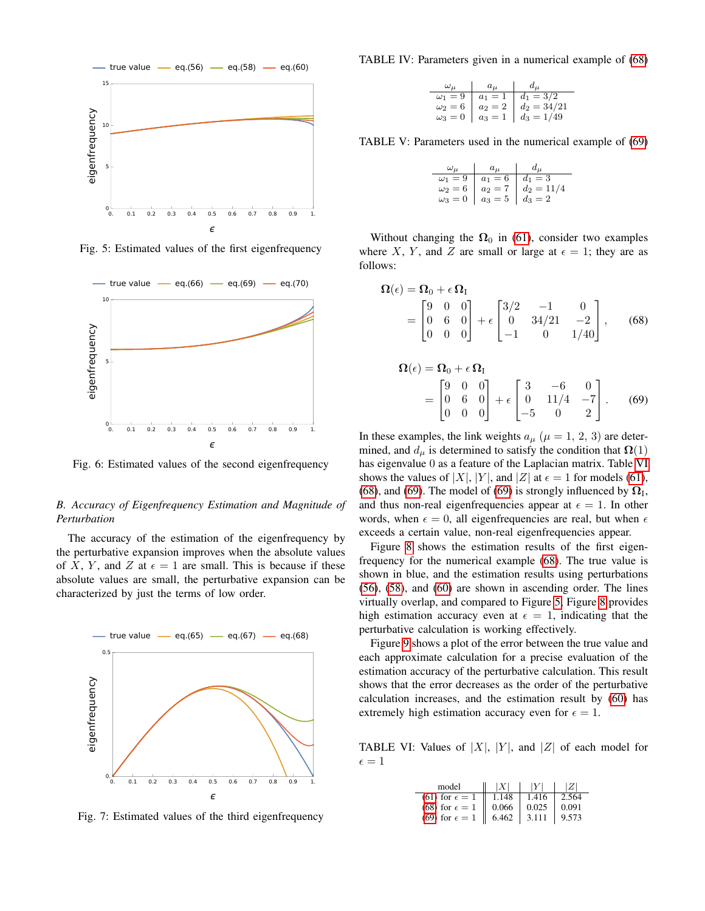<span id="page-12-0"></span>

Fig. 5: Estimated values of the first eigenfrequency



Fig. 6: Estimated values of the second eigenfrequency

# *B. Accuracy of Eigenfrequency Estimation and Magnitude of Perturbation*

The accuracy of the estimation of the eigenfrequency by the perturbative expansion improves when the absolute values of X, Y, and Z at  $\epsilon = 1$  are small. This is because if these absolute values are small, the perturbative expansion can be characterized by just the terms of low order.

<span id="page-12-1"></span>

Fig. 7: Estimated values of the third eigenfrequency

TABLE IV: Parameters given in a numerical example of [\(68\)](#page-12-2)

| $\omega_{\mu}$   $a_{\mu}$   $d_{\mu}$ |                                                                                                                                                                            |
|----------------------------------------|----------------------------------------------------------------------------------------------------------------------------------------------------------------------------|
|                                        |                                                                                                                                                                            |
|                                        |                                                                                                                                                                            |
|                                        | $\begin{array}{c c c c c c c} \hline \omega_1 = 9 & a_1 = 1 & d_1 = 3/2 \\ \hline \omega_2 = 6 & a_2 = 2 & d_2 = 34/21 \\ \omega_3 = 0 & a_3 = 1 & d_3 = 1/49 \end{array}$ |

TABLE V: Parameters used in the numerical example of [\(69\)](#page-12-3)

| $\omega_{\mu}$   $a_{\mu}$   $d_{\mu}$ |                                                                                                                                              |
|----------------------------------------|----------------------------------------------------------------------------------------------------------------------------------------------|
|                                        |                                                                                                                                              |
|                                        |                                                                                                                                              |
|                                        | $\begin{array}{ccc} \omega_1 = 9 & a_1 = 6 & d_1 = 3 \\ \omega_2 = 6 & a_2 = 7 & d_2 = 11/4 \\ \omega_3 = 0 & a_3 = 5 & d_3 = 2 \end{array}$ |

Without changing the  $\Omega_0$  in [\(61\)](#page-11-2), consider two examples where X, Y, and Z are small or large at  $\epsilon = 1$ ; they are as follows:

$$
\Omega(\epsilon) = \Omega_0 + \epsilon \Omega_{\text{I}} \n= \begin{bmatrix} 9 & 0 & 0 \\ 0 & 6 & 0 \\ 0 & 0 & 0 \end{bmatrix} + \epsilon \begin{bmatrix} 3/2 & -1 & 0 \\ 0 & 34/21 & -2 \\ -1 & 0 & 1/40 \end{bmatrix}, \quad (68)
$$

<span id="page-12-3"></span><span id="page-12-2"></span>
$$
\Omega(\epsilon) = \Omega_0 + \epsilon \Omega_{\text{I}} \n= \begin{bmatrix} 9 & 0 & 0 \\ 0 & 6 & 0 \\ 0 & 0 & 0 \end{bmatrix} + \epsilon \begin{bmatrix} 3 & -6 & 0 \\ 0 & 11/4 & -7 \\ -5 & 0 & 2 \end{bmatrix}.
$$
\n(69)

In these examples, the link weights  $a_{\mu}$  ( $\mu = 1, 2, 3$ ) are determined, and  $d_{\mu}$  is determined to satisfy the condition that  $\Omega(1)$ has eigenvalue 0 as a feature of the Laplacian matrix. Table [VI](#page-12-4) shows the values of  $|X|$ ,  $|Y|$ , and  $|Z|$  at  $\epsilon = 1$  for models [\(61\)](#page-11-2), [\(68\)](#page-12-2), and [\(69\)](#page-12-3). The model of (69) is strongly influenced by  $\Omega_I$ , and thus non-real eigenfrequencies appear at  $\epsilon = 1$ . In other words, when  $\epsilon = 0$ , all eigenfrequencies are real, but when  $\epsilon$ exceeds a certain value, non-real eigenfrequencies appear.

Figure [8](#page-13-0) shows the estimation results of the first eigenfrequency for the numerical example [\(68\)](#page-12-2). The true value is shown in blue, and the estimation results using perturbations [\(56\)](#page-10-1), [\(58\)](#page-10-2), and [\(60\)](#page-11-3) are shown in ascending order. The lines virtually overlap, and compared to Figure [5,](#page-12-0) Figure [8](#page-13-0) provides high estimation accuracy even at  $\epsilon = 1$ , indicating that the perturbative calculation is working effectively.

Figure [9](#page-13-1) shows a plot of the error between the true value and each approximate calculation for a precise evaluation of the estimation accuracy of the perturbative calculation. This result shows that the error decreases as the order of the perturbative calculation increases, and the estimation result by [\(60\)](#page-11-3) has extremely high estimation accuracy even for  $\epsilon = 1$ .

<span id="page-12-4"></span>TABLE VI: Values of  $|X|$ ,  $|Y|$ , and  $|Z|$  of each model for  $\epsilon = 1$ 

| model                     |       |       |       |
|---------------------------|-------|-------|-------|
| $(61)$ for $\epsilon = 1$ | 1.148 | 1.416 | 2.564 |
| $(68)$ for $\epsilon = 1$ | 0.066 | 0.025 | 0.091 |
| $(69)$ for $\epsilon = 1$ | 6.462 | 3.111 | 9.573 |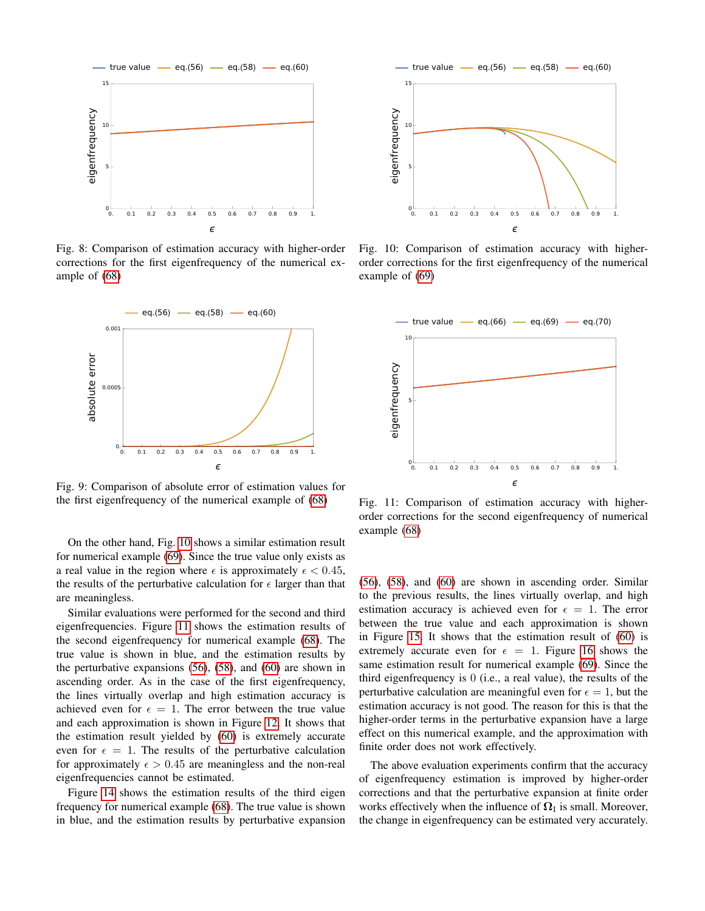<span id="page-13-0"></span>

Fig. 8: Comparison of estimation accuracy with higher-order corrections for the first eigenfrequency of the numerical example of [\(68\)](#page-12-2)

<span id="page-13-1"></span>

Fig. 9: Comparison of absolute error of estimation values for the first eigenfrequency of the numerical example of [\(68\)](#page-12-2)

On the other hand, Fig. [10](#page-13-2) shows a similar estimation result for numerical example [\(69\)](#page-12-3). Since the true value only exists as a real value in the region where  $\epsilon$  is approximately  $\epsilon < 0.45$ , the results of the perturbative calculation for  $\epsilon$  larger than that are meaningless.

Similar evaluations were performed for the second and third eigenfrequencies. Figure [11](#page-13-3) shows the estimation results of the second eigenfrequency for numerical example [\(68\)](#page-12-2). The true value is shown in blue, and the estimation results by the perturbative expansions [\(56\)](#page-10-1), [\(58\)](#page-10-2), and [\(60\)](#page-11-3) are shown in ascending order. As in the case of the first eigenfrequency, the lines virtually overlap and high estimation accuracy is achieved even for  $\epsilon = 1$ . The error between the true value and each approximation is shown in Figure [12.](#page-14-6) It shows that the estimation result yielded by [\(60\)](#page-11-3) is extremely accurate even for  $\epsilon = 1$ . The results of the perturbative calculation for approximately  $\epsilon > 0.45$  are meaningless and the non-real eigenfrequencies cannot be estimated.

Figure [14](#page-14-7) shows the estimation results of the third eigen frequency for numerical example [\(68\)](#page-12-2). The true value is shown in blue, and the estimation results by perturbative expansion

<span id="page-13-2"></span>

Fig. 10: Comparison of estimation accuracy with higherorder corrections for the first eigenfrequency of the numerical example of [\(69\)](#page-12-3)

<span id="page-13-3"></span>

Fig. 11: Comparison of estimation accuracy with higherorder corrections for the second eigenfrequency of numerical example [\(68\)](#page-12-2)

[\(56\)](#page-10-1), [\(58\)](#page-10-2), and [\(60\)](#page-11-3) are shown in ascending order. Similar to the previous results, the lines virtually overlap, and high estimation accuracy is achieved even for  $\epsilon = 1$ . The error between the true value and each approximation is shown in Figure [15.](#page-14-8) It shows that the estimation result of [\(60\)](#page-11-3) is extremely accurate even for  $\epsilon = 1$ . Figure [16](#page-15-18) shows the same estimation result for numerical example [\(69\)](#page-12-3). Since the third eigenfrequency is 0 (i.e., a real value), the results of the perturbative calculation are meaningful even for  $\epsilon = 1$ , but the estimation accuracy is not good. The reason for this is that the higher-order terms in the perturbative expansion have a large effect on this numerical example, and the approximation with finite order does not work effectively.

The above evaluation experiments confirm that the accuracy of eigenfrequency estimation is improved by higher-order corrections and that the perturbative expansion at finite order works effectively when the influence of  $\Omega_I$  is small. Moreover, the change in eigenfrequency can be estimated very accurately.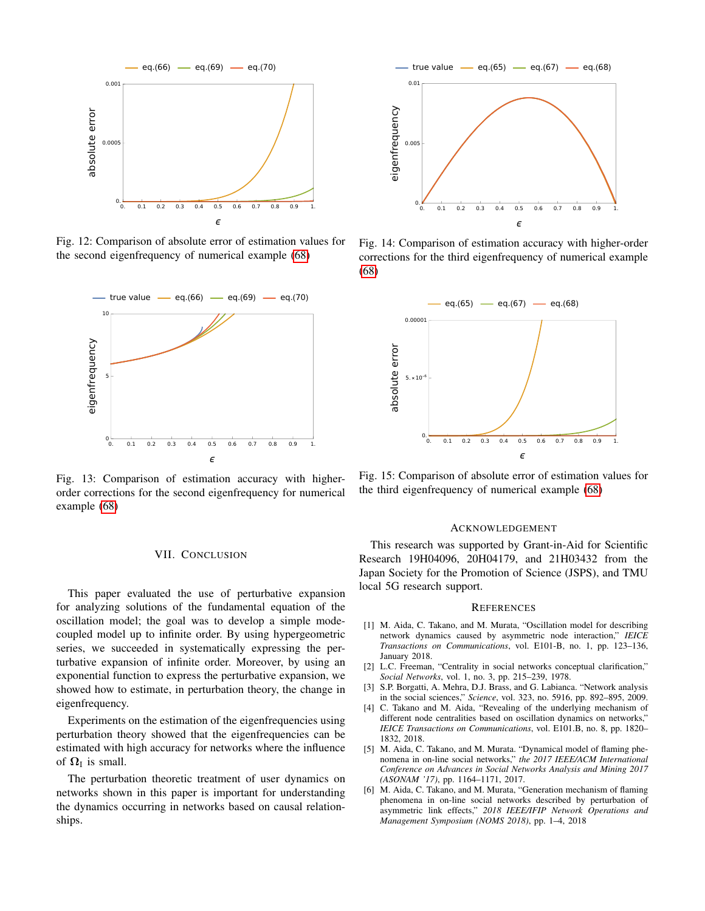<span id="page-14-6"></span>

Fig. 12: Comparison of absolute error of estimation values for the second eigenfrequency of numerical example [\(68\)](#page-12-2)



Fig. 13: Comparison of estimation accuracy with higherorder corrections for the second eigenfrequency for numerical example [\(68\)](#page-12-2)

## VII. CONCLUSION

This paper evaluated the use of perturbative expansion for analyzing solutions of the fundamental equation of the oscillation model; the goal was to develop a simple modecoupled model up to infinite order. By using hypergeometric series, we succeeded in systematically expressing the perturbative expansion of infinite order. Moreover, by using an exponential function to express the perturbative expansion, we showed how to estimate, in perturbation theory, the change in eigenfrequency.

Experiments on the estimation of the eigenfrequencies using perturbation theory showed that the eigenfrequencies can be estimated with high accuracy for networks where the influence of  $\Omega$ <sub>I</sub> is small.

The perturbation theoretic treatment of user dynamics on networks shown in this paper is important for understanding the dynamics occurring in networks based on causal relationships.

<span id="page-14-7"></span>

Fig. 14: Comparison of estimation accuracy with higher-order corrections for the third eigenfrequency of numerical example [\(68\)](#page-12-2)

<span id="page-14-8"></span>

Fig. 15: Comparison of absolute error of estimation values for the third eigenfrequency of numerical example [\(68\)](#page-12-2)

#### ACKNOWLEDGEMENT

This research was supported by Grant-in-Aid for Scientific Research 19H04096, 20H04179, and 21H03432 from the Japan Society for the Promotion of Science (JSPS), and TMU local 5G research support.

#### **REFERENCES**

- <span id="page-14-0"></span>[1] M. Aida, C. Takano, and M. Murata, "Oscillation model for describing network dynamics caused by asymmetric node interaction," *IEICE Transactions on Communications*, vol. E101-B, no. 1, pp. 123–136, January 2018.
- <span id="page-14-1"></span>[2] L.C. Freeman, "Centrality in social networks conceptual clarification," *Social Networks*, vol. 1, no. 3, pp. 215–239, 1978.
- <span id="page-14-2"></span>[3] S.P. Borgatti, A. Mehra, D.J. Brass, and G. Labianca. "Network analysis in the social sciences," *Science*, vol. 323, no. 5916, pp. 892–895, 2009.
- <span id="page-14-3"></span>[4] C. Takano and M. Aida, "Revealing of the underlying mechanism of different node centralities based on oscillation dynamics on networks," *IEICE Transactions on Communications*, vol. E101.B, no. 8, pp. 1820– 1832, 2018.
- <span id="page-14-4"></span>[5] M. Aida, C. Takano, and M. Murata. "Dynamical model of flaming phenomena in on-line social networks," *the 2017 IEEE/ACM International Conference on Advances in Social Networks Analysis and Mining 2017 (ASONAM '17)*, pp. 1164–1171, 2017.
- <span id="page-14-5"></span>[6] M. Aida, C. Takano, and M. Murata, "Generation mechanism of flaming phenomena in on-line social networks described by perturbation of asymmetric link effects," *2018 IEEE/IFIP Network Operations and Management Symposium (NOMS 2018)*, pp. 1–4, 2018